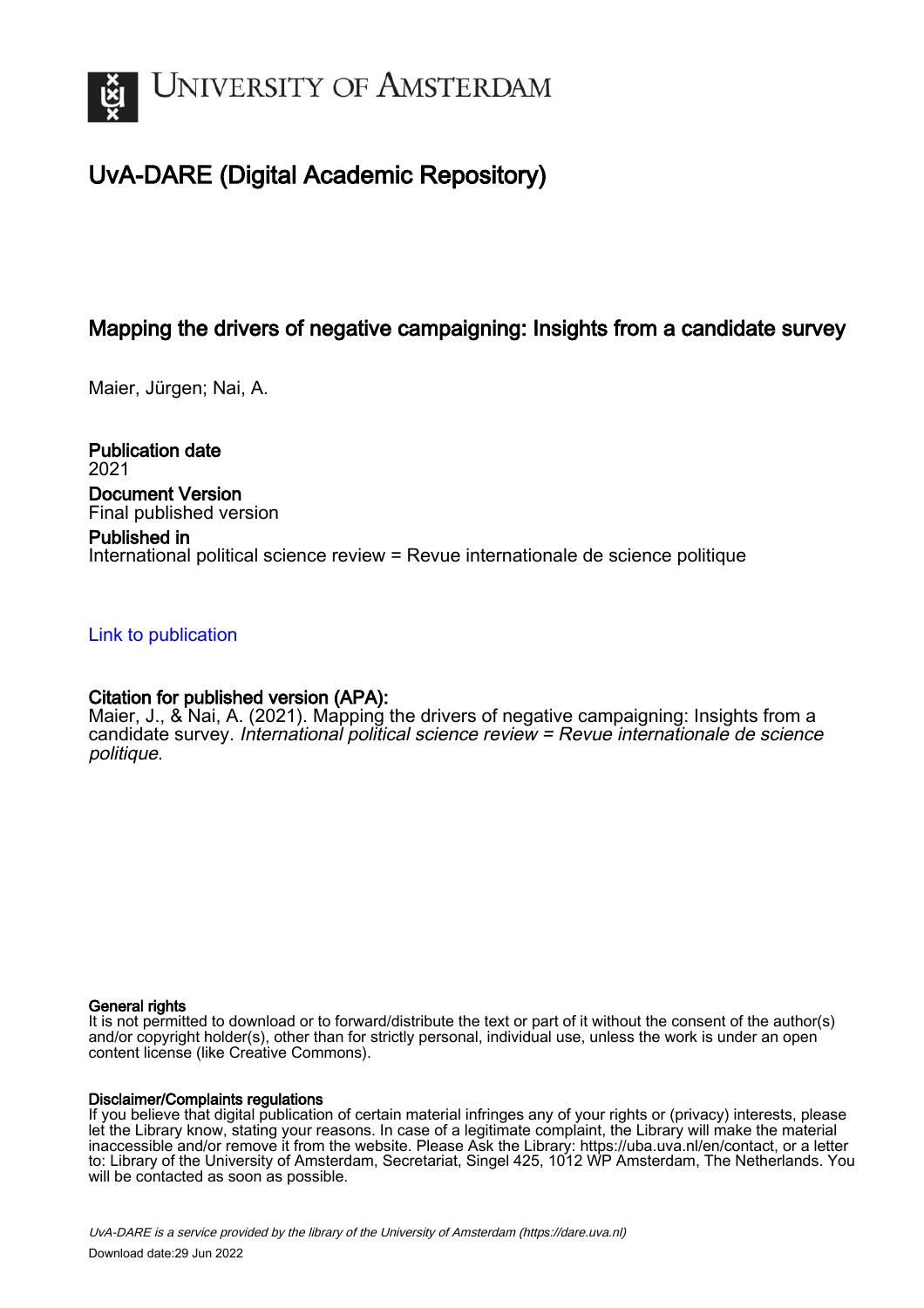

# UvA-DARE (Digital Academic Repository)

# Mapping the drivers of negative campaigning: Insights from a candidate survey

Maier, Jürgen; Nai, A.

Publication date 2021 Document Version Final published version

# Published in International political science review = Revue internationale de science politique

## [Link to publication](https://dare.uva.nl/personal/pure/en/publications/mapping-the-drivers-of-negative-campaigning-insights-from-a-candidate-survey(ccca0c8a-9bdf-402d-b0d4-ea3294316f5a).html)

## Citation for published version (APA):

Maier, J., & Nai, A. (2021). Mapping the drivers of negative campaigning: Insights from a candidate survey. International political science review = Revue internationale de science politique.

### General rights

It is not permitted to download or to forward/distribute the text or part of it without the consent of the author(s) and/or copyright holder(s), other than for strictly personal, individual use, unless the work is under an open content license (like Creative Commons).

### Disclaimer/Complaints regulations

If you believe that digital publication of certain material infringes any of your rights or (privacy) interests, please let the Library know, stating your reasons. In case of a legitimate complaint, the Library will make the material inaccessible and/or remove it from the website. Please Ask the Library: https://uba.uva.nl/en/contact, or a letter to: Library of the University of Amsterdam, Secretariat, Singel 425, 1012 WP Amsterdam, The Netherlands. You will be contacted as soon as possible.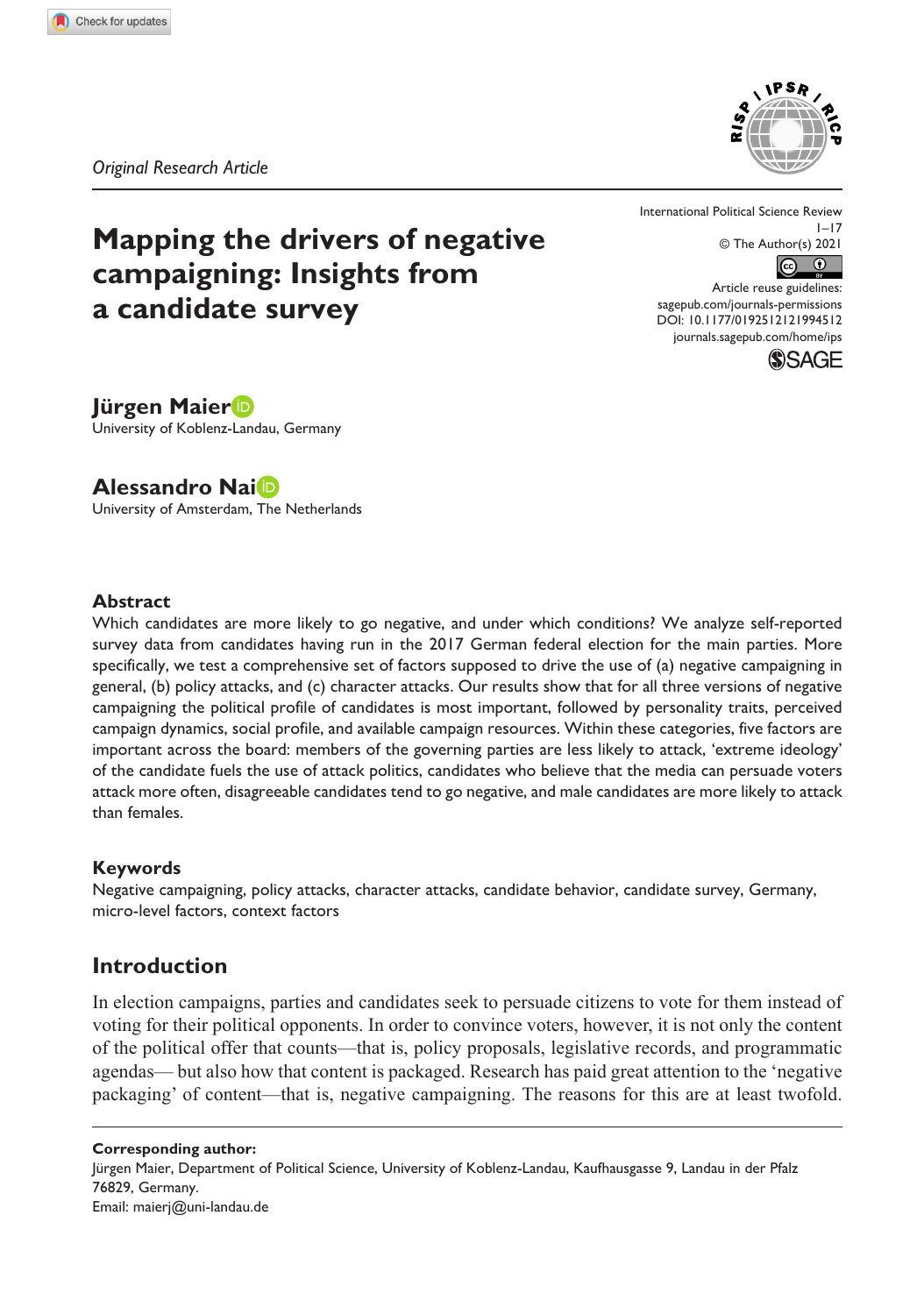*Original Research Article*



# **Mapping the drivers of negative campaigning: Insights from a candidate survey**

International Political Science Review  $1 - 17$ © The Author(s) 2021  $\overline{(\mathfrak{S} - \mathfrak{S})}$ 

DOI: 10.1177/0192512121994512 Article reuse guidelines: [sagepub.com/journals-permissions](https://uk.sagepub.com/en-gb/journals-permissions) [journals.sagepub.com/home/ips](https://journals.sagepub.com/home/ips)



## **Jürgen Maier**

University of Koblenz-Landau, Germany

## **Alessandro Nai**

University of Amsterdam, The Netherlands

#### **Abstract**

Which candidates are more likely to go negative, and under which conditions? We analyze self-reported survey data from candidates having run in the 2017 German federal election for the main parties. More specifically, we test a comprehensive set of factors supposed to drive the use of (a) negative campaigning in general, (b) policy attacks, and (c) character attacks. Our results show that for all three versions of negative campaigning the political profile of candidates is most important, followed by personality traits, perceived campaign dynamics, social profile, and available campaign resources. Within these categories, five factors are important across the board: members of the governing parties are less likely to attack, 'extreme ideology' of the candidate fuels the use of attack politics, candidates who believe that the media can persuade voters attack more often, disagreeable candidates tend to go negative, and male candidates are more likely to attack than females.

#### **Keywords**

Negative campaigning, policy attacks, character attacks, candidate behavior, candidate survey, Germany, micro-level factors, context factors

## **Introduction**

In election campaigns, parties and candidates seek to persuade citizens to vote for them instead of voting for their political opponents. In order to convince voters, however, it is not only the content of the political offer that counts—that is, policy proposals, legislative records, and programmatic agendas— but also how that content is packaged. Research has paid great attention to the 'negative packaging' of content—that is, negative campaigning. The reasons for this are at least twofold.

**Corresponding author:** Jürgen Maier, Department of Political Science, University of Koblenz-Landau, Kaufhausgasse 9, Landau in der Pfalz 76829, Germany. Email: [maierj@uni-landau.de](mailto:maierj@uni-landau.de)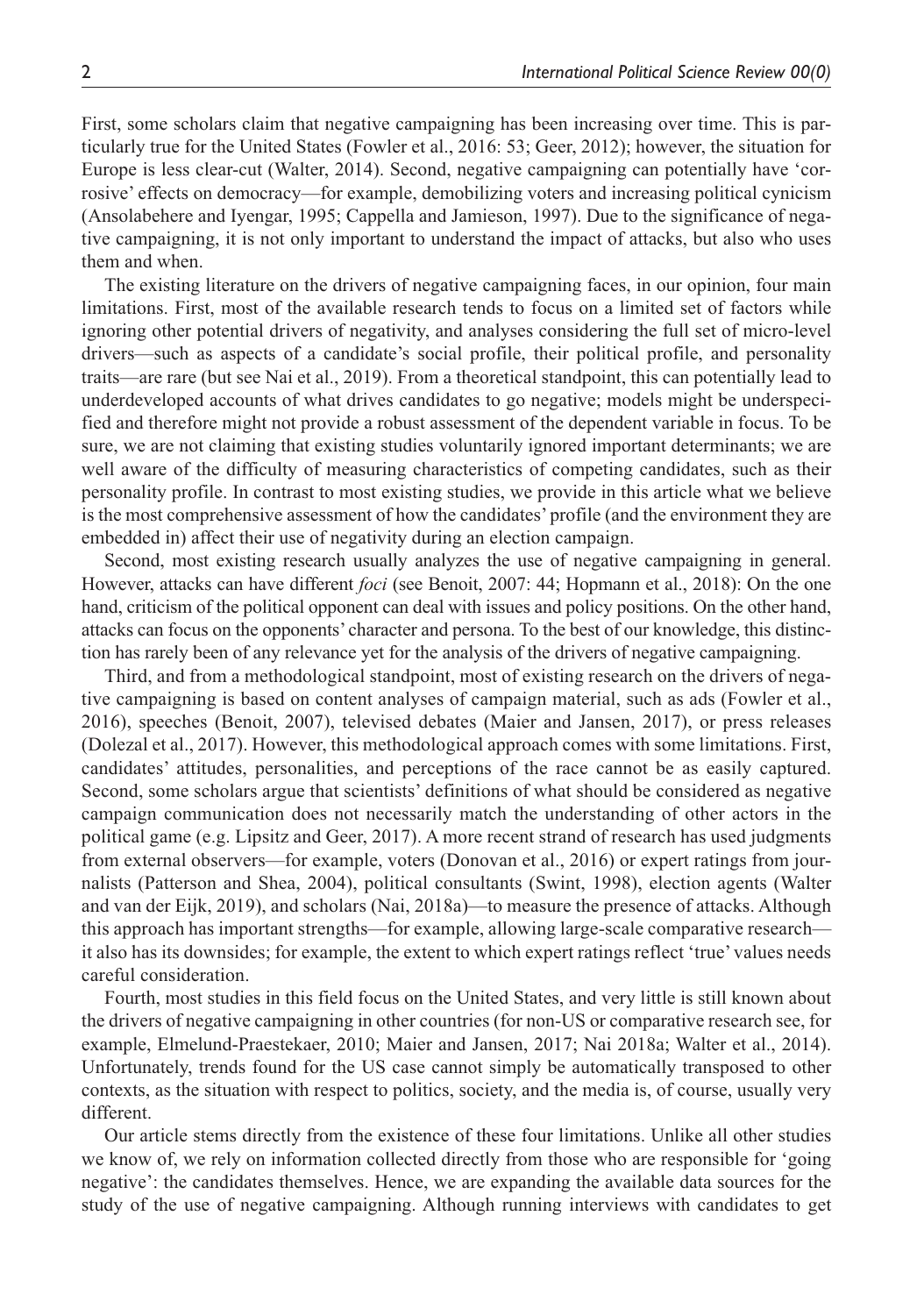First, some scholars claim that negative campaigning has been increasing over time. This is particularly true for the United States (Fowler et al., 2016: 53; Geer, 2012); however, the situation for Europe is less clear-cut (Walter, 2014). Second, negative campaigning can potentially have 'corrosive' effects on democracy—for example, demobilizing voters and increasing political cynicism (Ansolabehere and Iyengar, 1995; Cappella and Jamieson, 1997). Due to the significance of negative campaigning, it is not only important to understand the impact of attacks, but also who uses them and when.

The existing literature on the drivers of negative campaigning faces, in our opinion, four main limitations. First, most of the available research tends to focus on a limited set of factors while ignoring other potential drivers of negativity, and analyses considering the full set of micro-level drivers—such as aspects of a candidate's social profile, their political profile, and personality traits—are rare (but see Nai et al., 2019). From a theoretical standpoint, this can potentially lead to underdeveloped accounts of what drives candidates to go negative; models might be underspecified and therefore might not provide a robust assessment of the dependent variable in focus. To be sure, we are not claiming that existing studies voluntarily ignored important determinants; we are well aware of the difficulty of measuring characteristics of competing candidates, such as their personality profile. In contrast to most existing studies, we provide in this article what we believe is the most comprehensive assessment of how the candidates' profile (and the environment they are embedded in) affect their use of negativity during an election campaign.

Second, most existing research usually analyzes the use of negative campaigning in general. However, attacks can have different *foci* (see Benoit, 2007: 44; Hopmann et al., 2018): On the one hand, criticism of the political opponent can deal with issues and policy positions. On the other hand, attacks can focus on the opponents' character and persona. To the best of our knowledge, this distinction has rarely been of any relevance yet for the analysis of the drivers of negative campaigning.

Third, and from a methodological standpoint, most of existing research on the drivers of negative campaigning is based on content analyses of campaign material, such as ads (Fowler et al., 2016), speeches (Benoit, 2007), televised debates (Maier and Jansen, 2017), or press releases (Dolezal et al., 2017). However, this methodological approach comes with some limitations. First, candidates' attitudes, personalities, and perceptions of the race cannot be as easily captured. Second, some scholars argue that scientists' definitions of what should be considered as negative campaign communication does not necessarily match the understanding of other actors in the political game (e.g. Lipsitz and Geer, 2017). A more recent strand of research has used judgments from external observers—for example, voters (Donovan et al., 2016) or expert ratings from journalists (Patterson and Shea, 2004), political consultants (Swint, 1998), election agents (Walter and van der Eijk, 2019), and scholars (Nai, 2018a)—to measure the presence of attacks. Although this approach has important strengths—for example, allowing large-scale comparative research it also has its downsides; for example, the extent to which expert ratings reflect 'true' values needs careful consideration.

Fourth, most studies in this field focus on the United States, and very little is still known about the drivers of negative campaigning in other countries (for non-US or comparative research see, for example, Elmelund-Praestekaer, 2010; Maier and Jansen, 2017; Nai 2018a; Walter et al., 2014). Unfortunately, trends found for the US case cannot simply be automatically transposed to other contexts, as the situation with respect to politics, society, and the media is, of course, usually very different.

Our article stems directly from the existence of these four limitations. Unlike all other studies we know of, we rely on information collected directly from those who are responsible for 'going negative': the candidates themselves. Hence, we are expanding the available data sources for the study of the use of negative campaigning. Although running interviews with candidates to get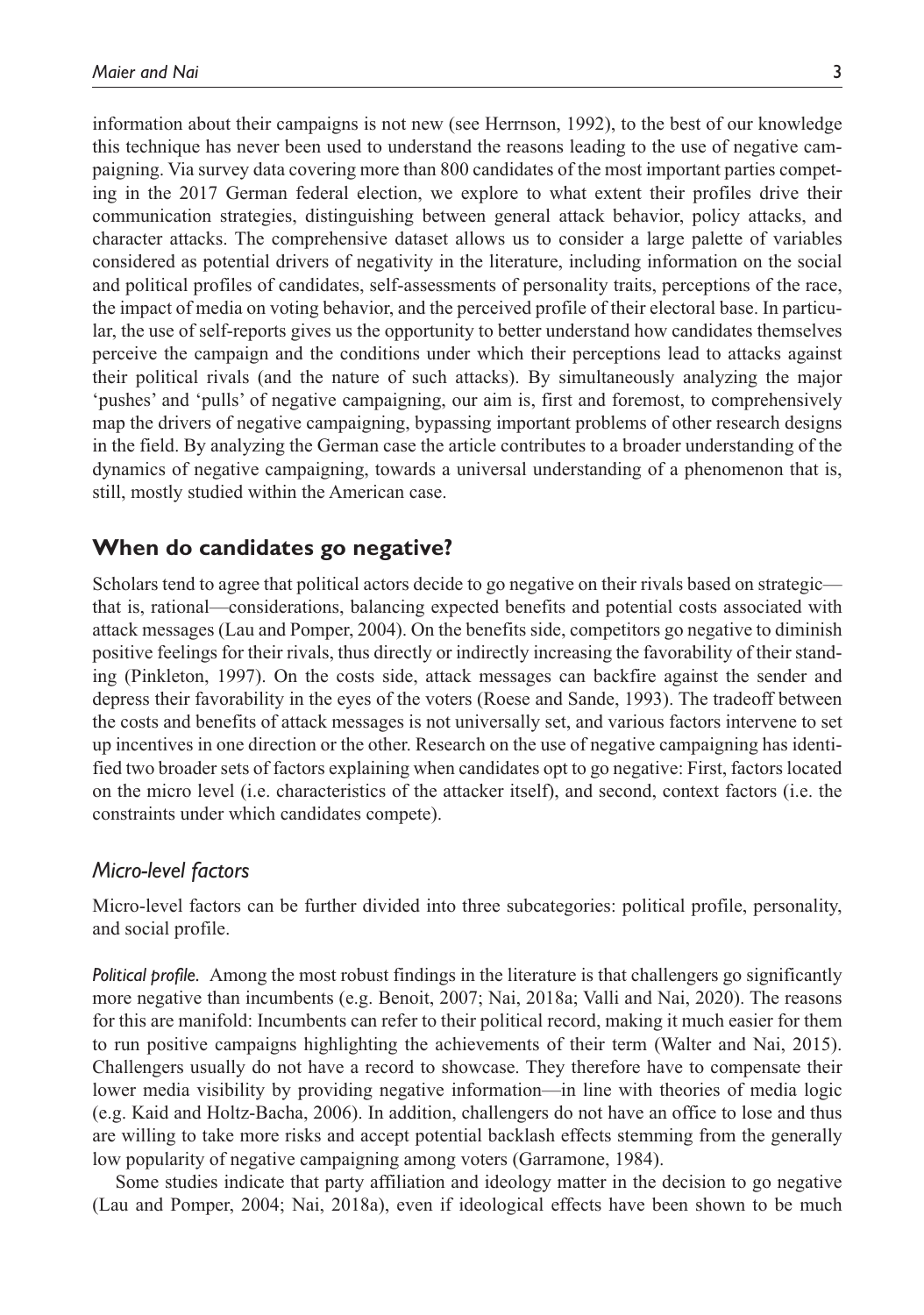information about their campaigns is not new (see Herrnson, 1992), to the best of our knowledge this technique has never been used to understand the reasons leading to the use of negative campaigning. Via survey data covering more than 800 candidates of the most important parties competing in the 2017 German federal election, we explore to what extent their profiles drive their communication strategies, distinguishing between general attack behavior, policy attacks, and character attacks. The comprehensive dataset allows us to consider a large palette of variables considered as potential drivers of negativity in the literature, including information on the social and political profiles of candidates, self-assessments of personality traits, perceptions of the race, the impact of media on voting behavior, and the perceived profile of their electoral base. In particular, the use of self-reports gives us the opportunity to better understand how candidates themselves perceive the campaign and the conditions under which their perceptions lead to attacks against their political rivals (and the nature of such attacks). By simultaneously analyzing the major 'pushes' and 'pulls' of negative campaigning, our aim is, first and foremost, to comprehensively map the drivers of negative campaigning, bypassing important problems of other research designs in the field. By analyzing the German case the article contributes to a broader understanding of the dynamics of negative campaigning, towards a universal understanding of a phenomenon that is, still, mostly studied within the American case.

#### **When do candidates go negative?**

Scholars tend to agree that political actors decide to go negative on their rivals based on strategic that is, rational—considerations, balancing expected benefits and potential costs associated with attack messages (Lau and Pomper, 2004). On the benefits side, competitors go negative to diminish positive feelings for their rivals, thus directly or indirectly increasing the favorability of their standing (Pinkleton, 1997). On the costs side, attack messages can backfire against the sender and depress their favorability in the eyes of the voters (Roese and Sande, 1993). The tradeoff between the costs and benefits of attack messages is not universally set, and various factors intervene to set up incentives in one direction or the other. Research on the use of negative campaigning has identified two broader sets of factors explaining when candidates opt to go negative: First, factors located on the micro level (i.e. characteristics of the attacker itself), and second, context factors (i.e. the constraints under which candidates compete).

#### *Micro-level factors*

Micro-level factors can be further divided into three subcategories: political profile, personality, and social profile.

*Political profile.* Among the most robust findings in the literature is that challengers go significantly more negative than incumbents (e.g. Benoit, 2007; Nai, 2018a; Valli and Nai, 2020). The reasons for this are manifold: Incumbents can refer to their political record, making it much easier for them to run positive campaigns highlighting the achievements of their term (Walter and Nai, 2015). Challengers usually do not have a record to showcase. They therefore have to compensate their lower media visibility by providing negative information—in line with theories of media logic (e.g. Kaid and Holtz-Bacha, 2006). In addition, challengers do not have an office to lose and thus are willing to take more risks and accept potential backlash effects stemming from the generally low popularity of negative campaigning among voters (Garramone, 1984).

Some studies indicate that party affiliation and ideology matter in the decision to go negative (Lau and Pomper, 2004; Nai, 2018a), even if ideological effects have been shown to be much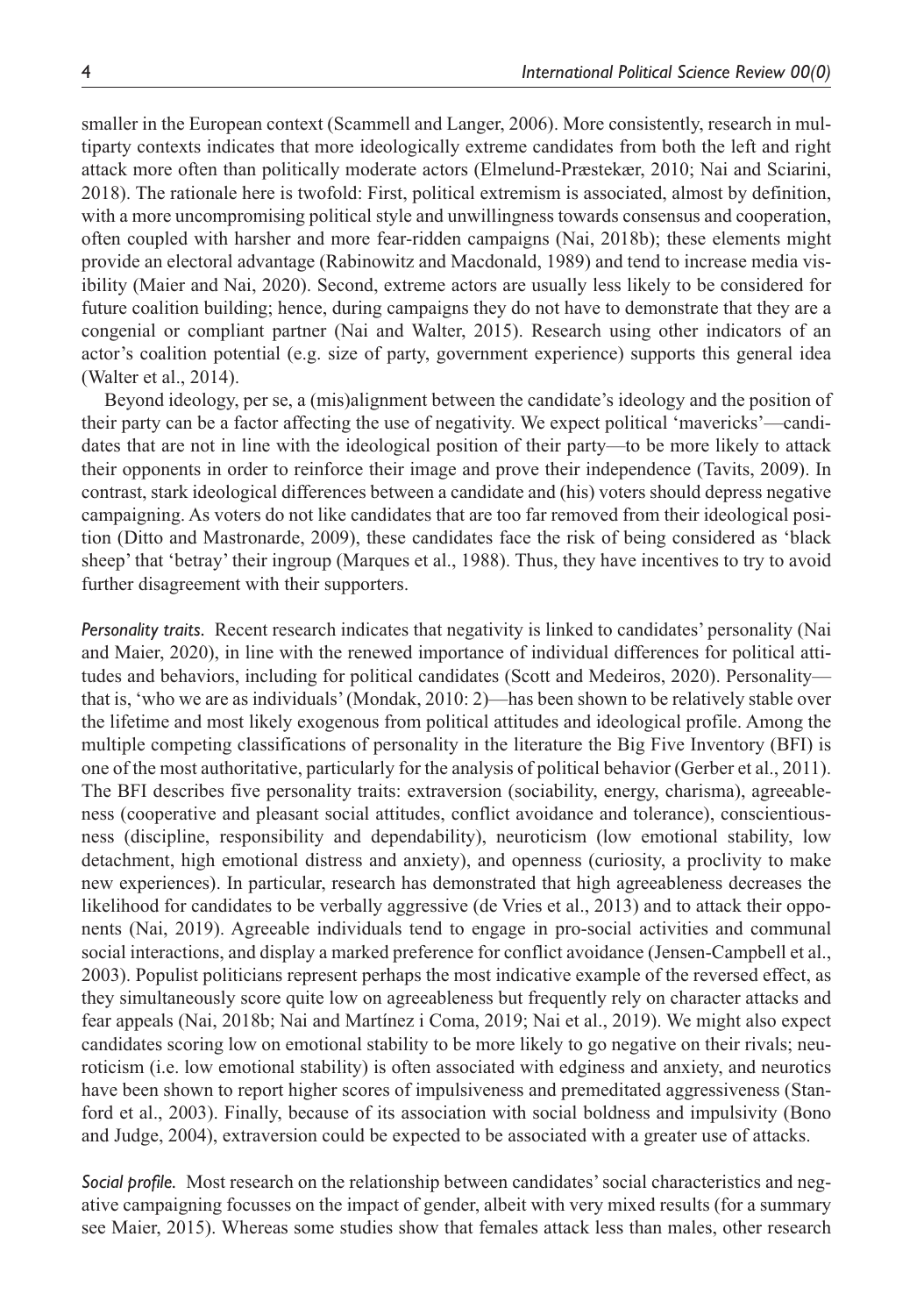smaller in the European context (Scammell and Langer, 2006). More consistently, research in multiparty contexts indicates that more ideologically extreme candidates from both the left and right attack more often than politically moderate actors (Elmelund-Præstekær, 2010; Nai and Sciarini, 2018). The rationale here is twofold: First, political extremism is associated, almost by definition, with a more uncompromising political style and unwillingness towards consensus and cooperation, often coupled with harsher and more fear-ridden campaigns (Nai, 2018b); these elements might provide an electoral advantage (Rabinowitz and Macdonald, 1989) and tend to increase media visibility (Maier and Nai, 2020). Second, extreme actors are usually less likely to be considered for future coalition building; hence, during campaigns they do not have to demonstrate that they are a congenial or compliant partner (Nai and Walter, 2015). Research using other indicators of an actor's coalition potential (e.g. size of party, government experience) supports this general idea (Walter et al., 2014).

Beyond ideology, per se, a (mis)alignment between the candidate's ideology and the position of their party can be a factor affecting the use of negativity. We expect political 'mavericks'—candidates that are not in line with the ideological position of their party—to be more likely to attack their opponents in order to reinforce their image and prove their independence (Tavits, 2009). In contrast, stark ideological differences between a candidate and (his) voters should depress negative campaigning. As voters do not like candidates that are too far removed from their ideological position (Ditto and Mastronarde, 2009), these candidates face the risk of being considered as 'black sheep' that 'betray' their ingroup (Marques et al., 1988). Thus, they have incentives to try to avoid further disagreement with their supporters.

*Personality traits.* Recent research indicates that negativity is linked to candidates' personality (Nai and Maier, 2020), in line with the renewed importance of individual differences for political attitudes and behaviors, including for political candidates (Scott and Medeiros, 2020). Personality that is, 'who we are as individuals' (Mondak, 2010: 2)—has been shown to be relatively stable over the lifetime and most likely exogenous from political attitudes and ideological profile. Among the multiple competing classifications of personality in the literature the Big Five Inventory (BFI) is one of the most authoritative, particularly for the analysis of political behavior (Gerber et al., 2011). The BFI describes five personality traits: extraversion (sociability, energy, charisma), agreeableness (cooperative and pleasant social attitudes, conflict avoidance and tolerance), conscientiousness (discipline, responsibility and dependability), neuroticism (low emotional stability, low detachment, high emotional distress and anxiety), and openness (curiosity, a proclivity to make new experiences). In particular, research has demonstrated that high agreeableness decreases the likelihood for candidates to be verbally aggressive (de Vries et al., 2013) and to attack their opponents (Nai, 2019). Agreeable individuals tend to engage in pro-social activities and communal social interactions, and display a marked preference for conflict avoidance (Jensen-Campbell et al., 2003). Populist politicians represent perhaps the most indicative example of the reversed effect, as they simultaneously score quite low on agreeableness but frequently rely on character attacks and fear appeals (Nai, 2018b; Nai and Martínez i Coma, 2019; Nai et al., 2019). We might also expect candidates scoring low on emotional stability to be more likely to go negative on their rivals; neuroticism (i.e. low emotional stability) is often associated with edginess and anxiety, and neurotics have been shown to report higher scores of impulsiveness and premeditated aggressiveness (Stanford et al., 2003). Finally, because of its association with social boldness and impulsivity (Bono and Judge, 2004), extraversion could be expected to be associated with a greater use of attacks.

*Social profile.* Most research on the relationship between candidates' social characteristics and negative campaigning focusses on the impact of gender, albeit with very mixed results (for a summary see Maier, 2015). Whereas some studies show that females attack less than males, other research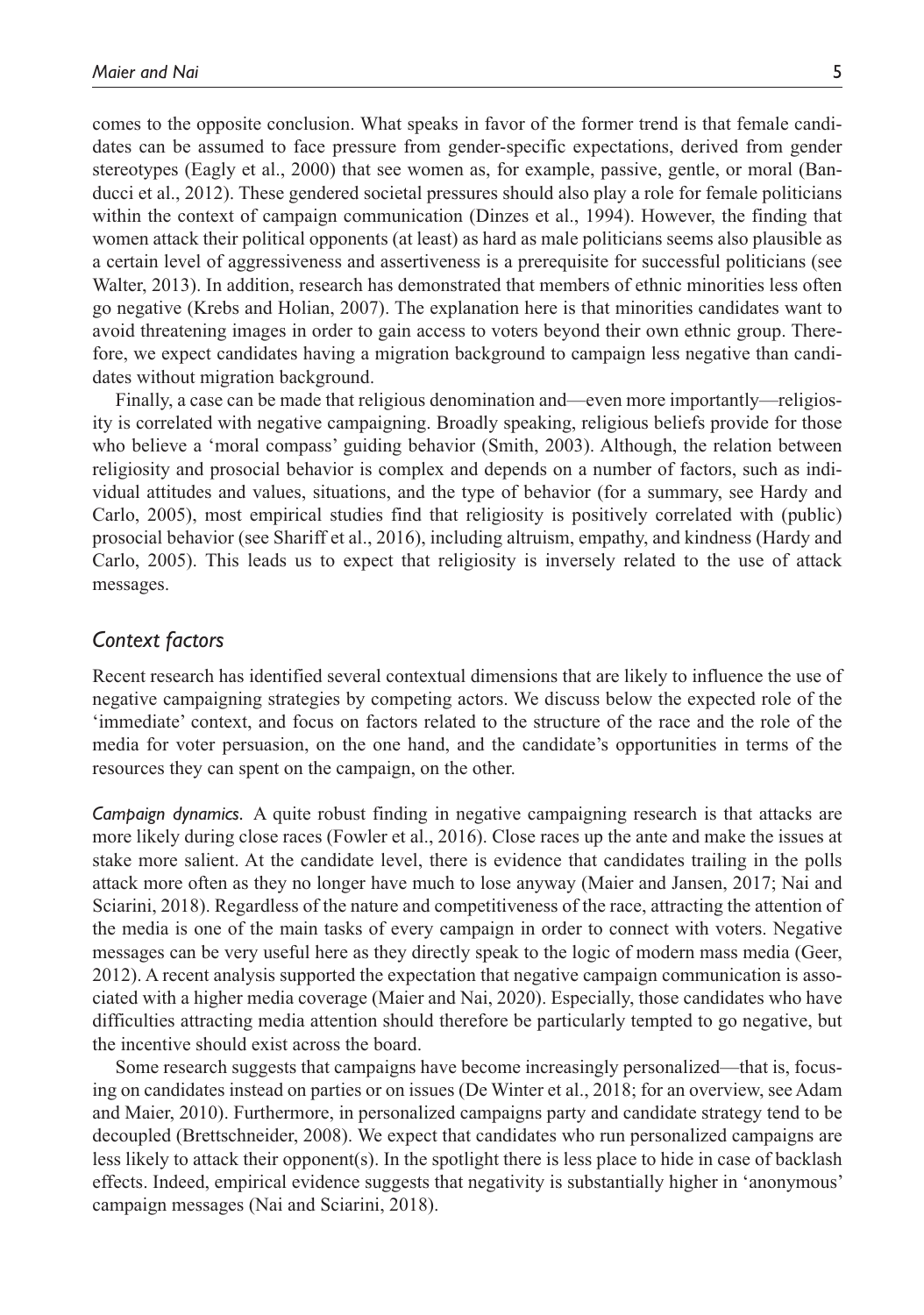comes to the opposite conclusion. What speaks in favor of the former trend is that female candidates can be assumed to face pressure from gender-specific expectations, derived from gender stereotypes (Eagly et al., 2000) that see women as, for example, passive, gentle, or moral (Banducci et al., 2012). These gendered societal pressures should also play a role for female politicians within the context of campaign communication (Dinzes et al., 1994). However, the finding that women attack their political opponents (at least) as hard as male politicians seems also plausible as a certain level of aggressiveness and assertiveness is a prerequisite for successful politicians (see Walter, 2013). In addition, research has demonstrated that members of ethnic minorities less often go negative (Krebs and Holian, 2007). The explanation here is that minorities candidates want to avoid threatening images in order to gain access to voters beyond their own ethnic group. Therefore, we expect candidates having a migration background to campaign less negative than candidates without migration background.

Finally, a case can be made that religious denomination and—even more importantly—religiosity is correlated with negative campaigning. Broadly speaking, religious beliefs provide for those who believe a 'moral compass' guiding behavior (Smith, 2003). Although, the relation between religiosity and prosocial behavior is complex and depends on a number of factors, such as individual attitudes and values, situations, and the type of behavior (for a summary, see Hardy and Carlo, 2005), most empirical studies find that religiosity is positively correlated with (public) prosocial behavior (see Shariff et al., 2016), including altruism, empathy, and kindness (Hardy and Carlo, 2005). This leads us to expect that religiosity is inversely related to the use of attack messages.

### *Context factors*

Recent research has identified several contextual dimensions that are likely to influence the use of negative campaigning strategies by competing actors. We discuss below the expected role of the 'immediate' context, and focus on factors related to the structure of the race and the role of the media for voter persuasion, on the one hand, and the candidate's opportunities in terms of the resources they can spent on the campaign, on the other.

*Campaign dynamics.* A quite robust finding in negative campaigning research is that attacks are more likely during close races (Fowler et al., 2016). Close races up the ante and make the issues at stake more salient. At the candidate level, there is evidence that candidates trailing in the polls attack more often as they no longer have much to lose anyway (Maier and Jansen, 2017; Nai and Sciarini, 2018). Regardless of the nature and competitiveness of the race, attracting the attention of the media is one of the main tasks of every campaign in order to connect with voters. Negative messages can be very useful here as they directly speak to the logic of modern mass media (Geer, 2012). A recent analysis supported the expectation that negative campaign communication is associated with a higher media coverage (Maier and Nai, 2020). Especially, those candidates who have difficulties attracting media attention should therefore be particularly tempted to go negative, but the incentive should exist across the board.

Some research suggests that campaigns have become increasingly personalized—that is, focusing on candidates instead on parties or on issues (De Winter et al., 2018; for an overview, see Adam and Maier, 2010). Furthermore, in personalized campaigns party and candidate strategy tend to be decoupled (Brettschneider, 2008). We expect that candidates who run personalized campaigns are less likely to attack their opponent(s). In the spotlight there is less place to hide in case of backlash effects. Indeed, empirical evidence suggests that negativity is substantially higher in 'anonymous' campaign messages (Nai and Sciarini, 2018).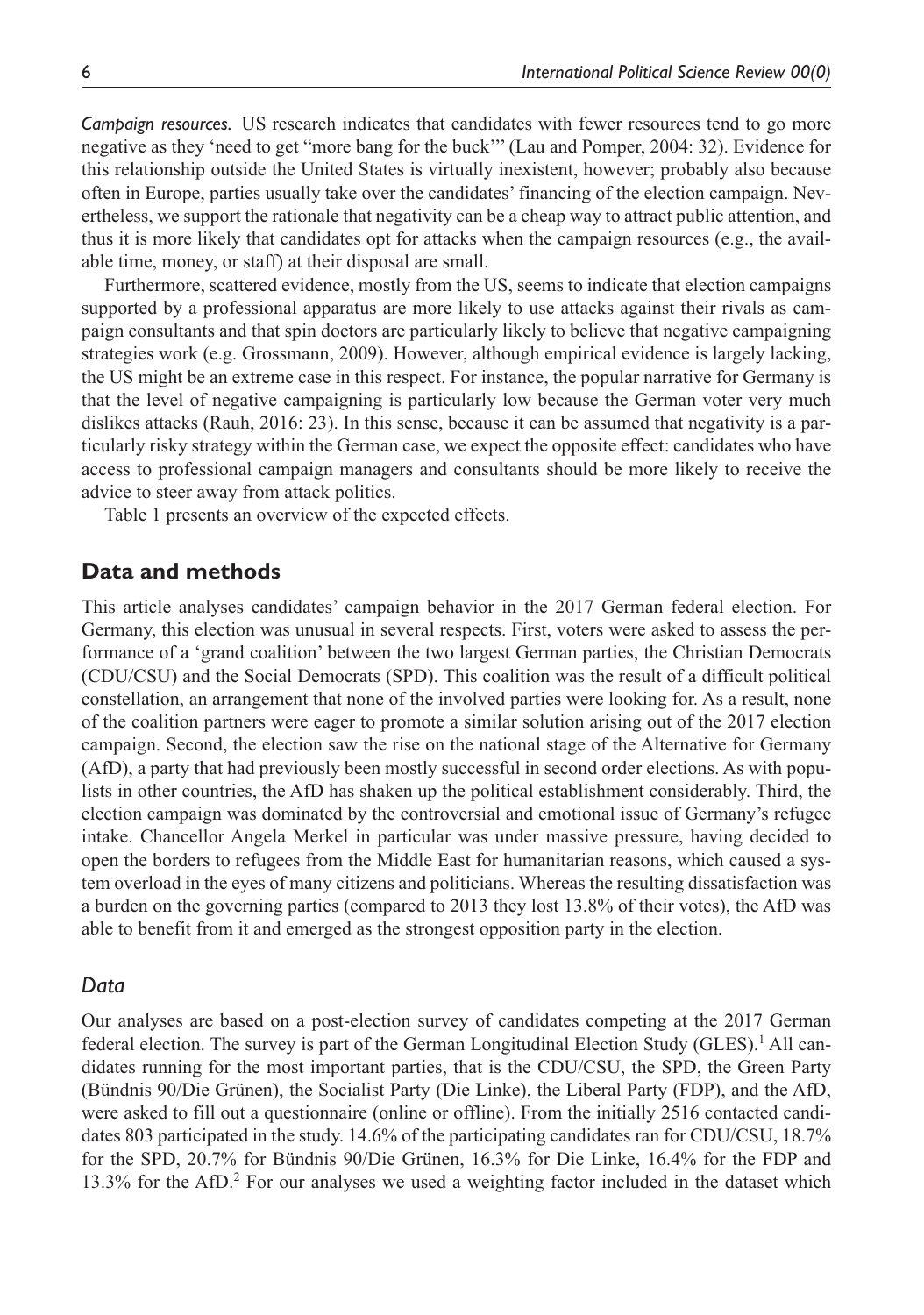*Campaign resources.* US research indicates that candidates with fewer resources tend to go more negative as they 'need to get "more bang for the buck''' (Lau and Pomper, 2004: 32). Evidence for this relationship outside the United States is virtually inexistent, however; probably also because often in Europe, parties usually take over the candidates' financing of the election campaign. Nevertheless, we support the rationale that negativity can be a cheap way to attract public attention, and thus it is more likely that candidates opt for attacks when the campaign resources (e.g., the available time, money, or staff) at their disposal are small.

Furthermore, scattered evidence, mostly from the US, seems to indicate that election campaigns supported by a professional apparatus are more likely to use attacks against their rivals as campaign consultants and that spin doctors are particularly likely to believe that negative campaigning strategies work (e.g. Grossmann, 2009). However, although empirical evidence is largely lacking, the US might be an extreme case in this respect. For instance, the popular narrative for Germany is that the level of negative campaigning is particularly low because the German voter very much dislikes attacks (Rauh, 2016: 23). In this sense, because it can be assumed that negativity is a particularly risky strategy within the German case, we expect the opposite effect: candidates who have access to professional campaign managers and consultants should be more likely to receive the advice to steer away from attack politics.

Table 1 presents an overview of the expected effects.

## **Data and methods**

This article analyses candidates' campaign behavior in the 2017 German federal election. For Germany, this election was unusual in several respects. First, voters were asked to assess the performance of a 'grand coalition' between the two largest German parties, the Christian Democrats (CDU/CSU) and the Social Democrats (SPD). This coalition was the result of a difficult political constellation, an arrangement that none of the involved parties were looking for. As a result, none of the coalition partners were eager to promote a similar solution arising out of the 2017 election campaign. Second, the election saw the rise on the national stage of the Alternative for Germany (AfD), a party that had previously been mostly successful in second order elections. As with populists in other countries, the AfD has shaken up the political establishment considerably. Third, the election campaign was dominated by the controversial and emotional issue of Germany's refugee intake. Chancellor Angela Merkel in particular was under massive pressure, having decided to open the borders to refugees from the Middle East for humanitarian reasons, which caused a system overload in the eyes of many citizens and politicians. Whereas the resulting dissatisfaction was a burden on the governing parties (compared to 2013 they lost 13.8% of their votes), the AfD was able to benefit from it and emerged as the strongest opposition party in the election.

#### *Data*

Our analyses are based on a post-election survey of candidates competing at the 2017 German federal election. The survey is part of the German Longitudinal Election Study (GLES).<sup>1</sup> All candidates running for the most important parties, that is the CDU/CSU, the SPD, the Green Party (Bündnis 90/Die Grünen), the Socialist Party (Die Linke), the Liberal Party (FDP), and the AfD, were asked to fill out a questionnaire (online or offline). From the initially 2516 contacted candidates 803 participated in the study. 14.6% of the participating candidates ran for CDU/CSU, 18.7% for the SPD, 20.7% for Bündnis 90/Die Grünen, 16.3% for Die Linke, 16.4% for the FDP and 13.3% for the AfD.<sup>2</sup> For our analyses we used a weighting factor included in the dataset which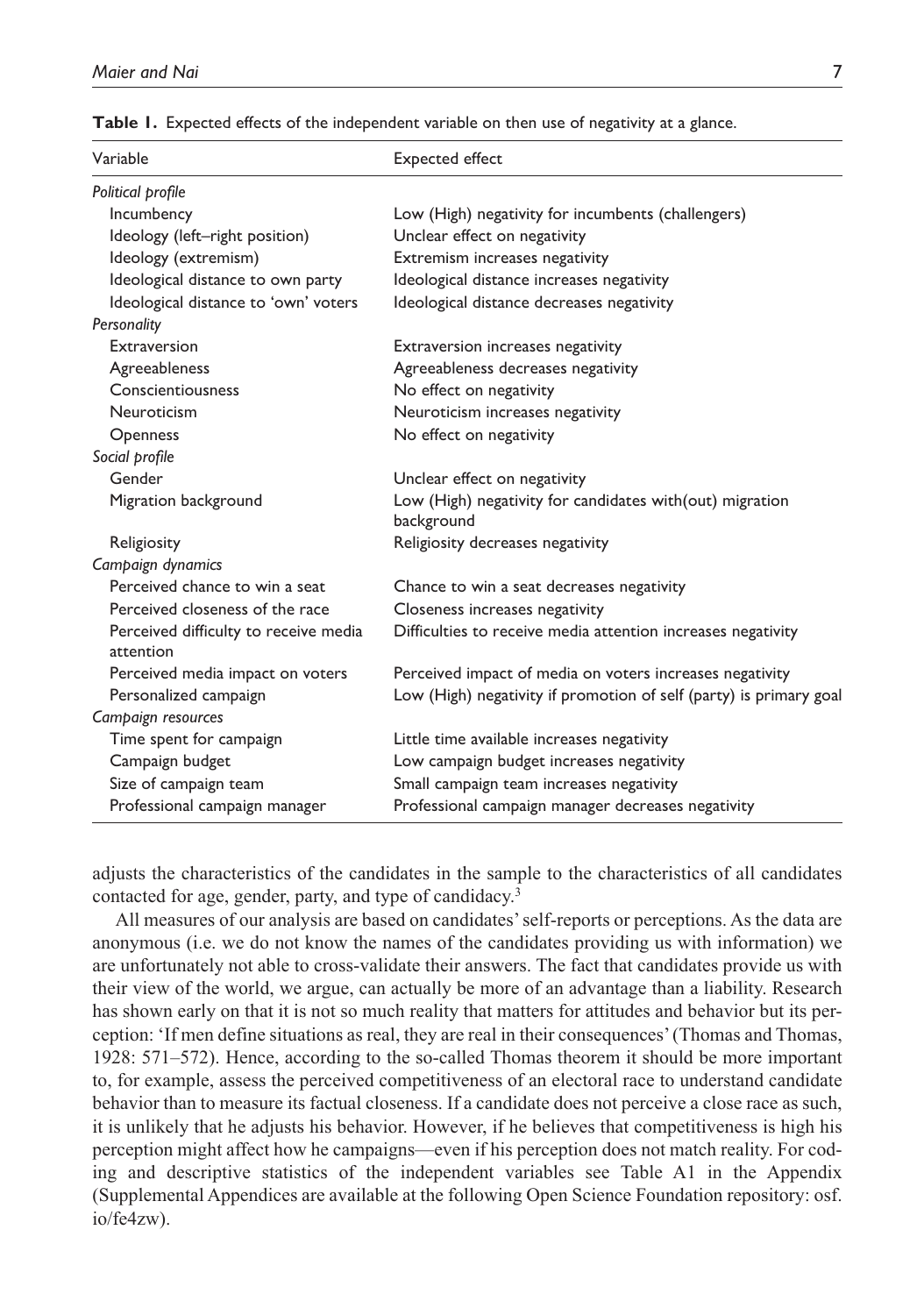| Variable                                           | Expected effect                                                        |
|----------------------------------------------------|------------------------------------------------------------------------|
| Political profile                                  |                                                                        |
| Incumbency                                         | Low (High) negativity for incumbents (challengers)                     |
| Ideology (left-right position)                     | Unclear effect on negativity                                           |
| Ideology (extremism)                               | Extremism increases negativity                                         |
| Ideological distance to own party                  | Ideological distance increases negativity                              |
| Ideological distance to 'own' voters               | Ideological distance decreases negativity                              |
| Personality                                        |                                                                        |
| Extraversion                                       | Extraversion increases negativity                                      |
| Agreeableness                                      | Agreeableness decreases negativity                                     |
| Conscientiousness                                  | No effect on negativity                                                |
| Neuroticism                                        | Neuroticism increases negativity                                       |
| Openness                                           | No effect on negativity                                                |
| Social profile                                     |                                                                        |
| Gender                                             | Unclear effect on negativity                                           |
| Migration background                               | Low (High) negativity for candidates with(out) migration<br>background |
| Religiosity                                        | Religiosity decreases negativity                                       |
| Campaign dynamics                                  |                                                                        |
| Perceived chance to win a seat                     | Chance to win a seat decreases negativity                              |
| Perceived closeness of the race                    | Closeness increases negativity                                         |
| Perceived difficulty to receive media<br>attention | Difficulties to receive media attention increases negativity           |
| Perceived media impact on voters                   | Perceived impact of media on voters increases negativity               |
| Personalized campaign                              | Low (High) negativity if promotion of self (party) is primary goal     |
| Campaign resources                                 |                                                                        |
| Time spent for campaign                            | Little time available increases negativity                             |
| Campaign budget                                    | Low campaign budget increases negativity                               |
| Size of campaign team                              | Small campaign team increases negativity                               |
| Professional campaign manager                      | Professional campaign manager decreases negativity                     |

**Table 1.** Expected effects of the independent variable on then use of negativity at a glance.

adjusts the characteristics of the candidates in the sample to the characteristics of all candidates contacted for age, gender, party, and type of candidacy.<sup>3</sup>

All measures of our analysis are based on candidates' self-reports or perceptions. As the data are anonymous (i.e. we do not know the names of the candidates providing us with information) we are unfortunately not able to cross-validate their answers. The fact that candidates provide us with their view of the world, we argue, can actually be more of an advantage than a liability. Research has shown early on that it is not so much reality that matters for attitudes and behavior but its perception: 'If men define situations as real, they are real in their consequences' (Thomas and Thomas, 1928: 571–572). Hence, according to the so-called Thomas theorem it should be more important to, for example, assess the perceived competitiveness of an electoral race to understand candidate behavior than to measure its factual closeness. If a candidate does not perceive a close race as such, it is unlikely that he adjusts his behavior. However, if he believes that competitiveness is high his perception might affect how he campaigns—even if his perception does not match reality. For coding and descriptive statistics of the independent variables see Table A1 in the Appendix (Supplemental Appendices are available at the following Open Science Foundation repository: osf. io/fe4zw).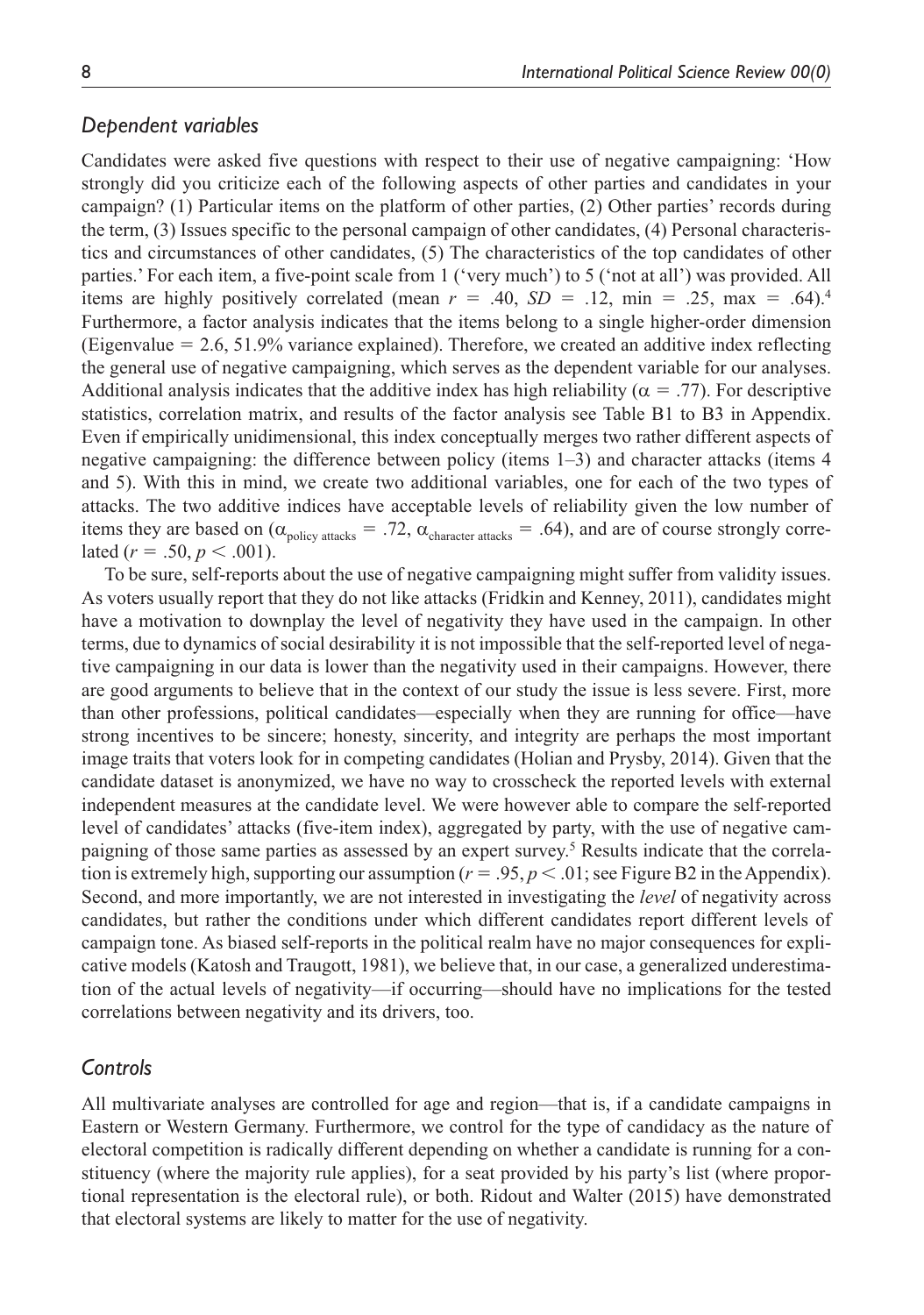#### *Dependent variables*

Candidates were asked five questions with respect to their use of negative campaigning: 'How strongly did you criticize each of the following aspects of other parties and candidates in your campaign? (1) Particular items on the platform of other parties, (2) Other parties' records during the term, (3) Issues specific to the personal campaign of other candidates, (4) Personal characteristics and circumstances of other candidates, (5) The characteristics of the top candidates of other parties.' For each item, a five-point scale from 1 ('very much') to 5 ('not at all') was provided. All items are highly positively correlated (mean  $r = .40$ ,  $SD = .12$ ,  $\text{min} = .25$ ,  $\text{max} = .64$ ).<sup>4</sup> Furthermore, a factor analysis indicates that the items belong to a single higher-order dimension (Eigenvalue  $= 2.6, 51.9\%$  variance explained). Therefore, we created an additive index reflecting the general use of negative campaigning, which serves as the dependent variable for our analyses. Additional analysis indicates that the additive index has high reliability ( $\alpha = .77$ ). For descriptive statistics, correlation matrix, and results of the factor analysis see Table B1 to B3 in Appendix. Even if empirically unidimensional, this index conceptually merges two rather different aspects of negative campaigning: the difference between policy (items 1–3) and character attacks (items 4 and 5). With this in mind, we create two additional variables, one for each of the two types of attacks. The two additive indices have acceptable levels of reliability given the low number of items they are based on ( $\alpha_{\text{policy attacks}} = .72$ ,  $\alpha_{\text{character attacks}} = .64$ ), and are of course strongly correlated  $(r = .50, p < .001)$ .

To be sure, self-reports about the use of negative campaigning might suffer from validity issues. As voters usually report that they do not like attacks (Fridkin and Kenney, 2011), candidates might have a motivation to downplay the level of negativity they have used in the campaign. In other terms, due to dynamics of social desirability it is not impossible that the self-reported level of negative campaigning in our data is lower than the negativity used in their campaigns. However, there are good arguments to believe that in the context of our study the issue is less severe. First, more than other professions, political candidates—especially when they are running for office—have strong incentives to be sincere; honesty, sincerity, and integrity are perhaps the most important image traits that voters look for in competing candidates (Holian and Prysby, 2014). Given that the candidate dataset is anonymized, we have no way to crosscheck the reported levels with external independent measures at the candidate level. We were however able to compare the self-reported level of candidates' attacks (five-item index), aggregated by party, with the use of negative campaigning of those same parties as assessed by an expert survey.<sup>5</sup> Results indicate that the correlation is extremely high, supporting our assumption ( $r = .95$ ,  $p < .01$ ; see Figure B2 in the Appendix). Second, and more importantly, we are not interested in investigating the *level* of negativity across candidates, but rather the conditions under which different candidates report different levels of campaign tone. As biased self-reports in the political realm have no major consequences for explicative models (Katosh and Traugott, 1981), we believe that, in our case, a generalized underestimation of the actual levels of negativity—if occurring—should have no implications for the tested correlations between negativity and its drivers, too.

#### *Controls*

All multivariate analyses are controlled for age and region—that is, if a candidate campaigns in Eastern or Western Germany. Furthermore, we control for the type of candidacy as the nature of electoral competition is radically different depending on whether a candidate is running for a constituency (where the majority rule applies), for a seat provided by his party's list (where proportional representation is the electoral rule), or both. Ridout and Walter (2015) have demonstrated that electoral systems are likely to matter for the use of negativity.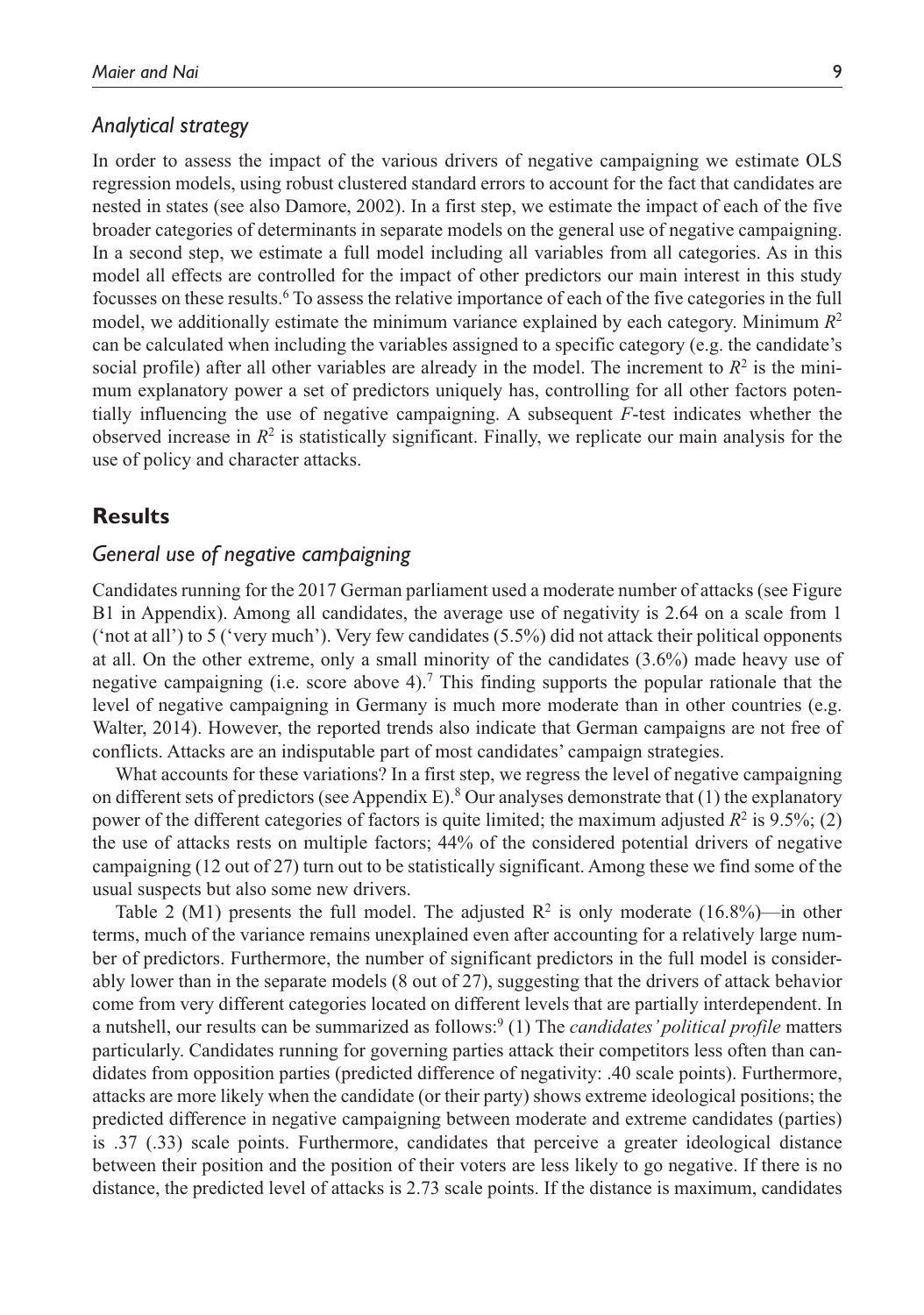#### *Analytical strategy*

In order to assess the impact of the various drivers of negative campaigning we estimate OLS regression models, using robust clustered standard errors to account for the fact that candidates are nested in states (see also Damore, 2002). In a first step, we estimate the impact of each of the five broader categories of determinants in separate models on the general use of negative campaigning. In a second step, we estimate a full model including all variables from all categories. As in this model all effects are controlled for the impact of other predictors our main interest in this study focusses on these results.<sup>6</sup> To assess the relative importance of each of the five categories in the full model, we additionally estimate the minimum variance explained by each category. Minimum  $R^2$ can be calculated when including the variables assigned to a specific category (e.g. the candidate's social profile) after all other variables are already in the model. The increment to  $R^2$  is the minimum explanatory power a set of predictors uniquely has, controlling for all other factors potentially influencing the use of negative campaigning. A subsequent *F*-test indicates whether the observed increase in  $R^2$  is statistically significant. Finally, we replicate our main analysis for the use of policy and character attacks.

### **Results**

## *General use of negative campaigning*

Candidates running for the 2017 German parliament used a moderate number of attacks (see Figure B1 in Appendix). Among all candidates, the average use of negativity is 2.64 on a scale from 1 ('not at all') to 5 ('very much'). Very few candidates (5.5%) did not attack their political opponents at all. On the other extreme, only a small minority of the candidates (3.6%) made heavy use of negative campaigning (i.e. score above 4).<sup>7</sup> This finding supports the popular rationale that the level of negative campaigning in Germany is much more moderate than in other countries (e.g. Walter, 2014). However, the reported trends also indicate that German campaigns are not free of conflicts. Attacks are an indisputable part of most candidates' campaign strategies.

What accounts for these variations? In a first step, we regress the level of negative campaigning on different sets of predictors (see Appendix E).<sup>8</sup> Our analyses demonstrate that (1) the explanatory power of the different categories of factors is quite limited; the maximum adjusted  $R^2$  is 9.5%; (2) the use of attacks rests on multiple factors; 44% of the considered potential drivers of negative campaigning (12 out of 27) turn out to be statistically significant. Among these we find some of the usual suspects but also some new drivers.

Table 2 (M1) presents the full model. The adjusted  $R^2$  is only moderate (16.8%)—in other terms, much of the variance remains unexplained even after accounting for a relatively large number of predictors. Furthermore, the number of significant predictors in the full model is considerably lower than in the separate models (8 out of 27), suggesting that the drivers of attack behavior come from very different categories located on different levels that are partially interdependent. In a nutshell, our results can be summarized as follows:<sup>9</sup> (1) The *candidates' political profile* matters particularly. Candidates running for governing parties attack their competitors less often than candidates from opposition parties (predicted difference of negativity: .40 scale points). Furthermore, attacks are more likely when the candidate (or their party) shows extreme ideological positions; the predicted difference in negative campaigning between moderate and extreme candidates (parties) is .37 (.33) scale points. Furthermore, candidates that perceive a greater ideological distance between their position and the position of their voters are less likely to go negative. If there is no distance, the predicted level of attacks is 2.73 scale points. If the distance is maximum, candidates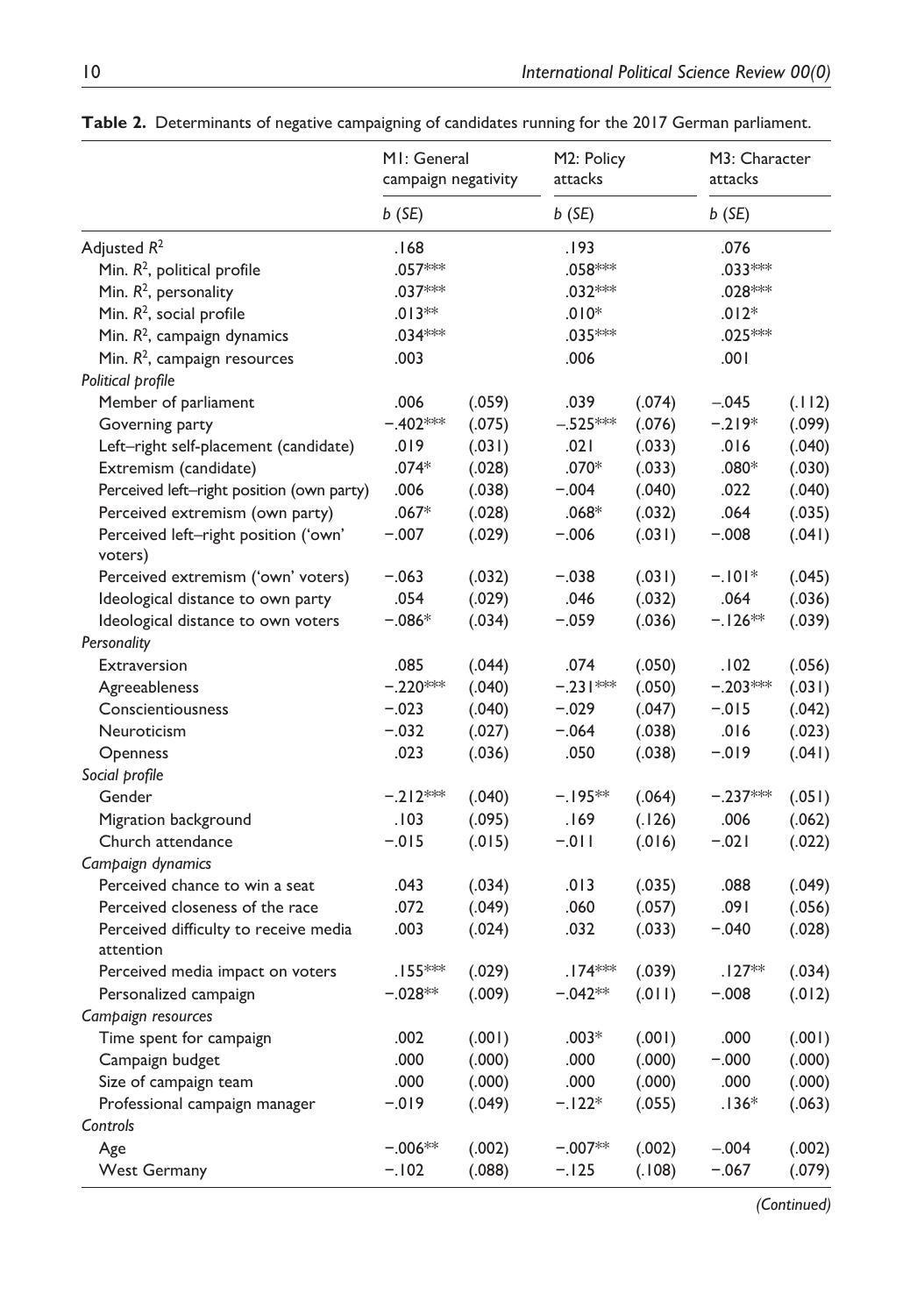|                                                    | MI: General<br>campaign negativity |        | M2: Policy<br>attacks |        | M3: Character<br>attacks |        |
|----------------------------------------------------|------------------------------------|--------|-----------------------|--------|--------------------------|--------|
|                                                    | b(SE)                              |        | $b$ (SE)              |        | $b$ (SE)                 |        |
| Adjusted R <sup>2</sup>                            | .168                               |        | .193                  |        | .076                     |        |
| Min. $R^2$ , political profile                     | .057***                            |        | .058 ***              |        | .033***                  |        |
| Min. $R^2$ , personality                           | $.037***$                          |        | $.032***$             |        | $.028***$                |        |
| Min. $R^2$ , social profile                        | $.013**$                           |        | $.010*$               |        | $.012*$                  |        |
| Min. $R^2$ , campaign dynamics                     | $.034***$                          |        | .035***               |        | .025***                  |        |
| Min. $R^2$ , campaign resources                    | .003                               |        | .006                  |        | .001                     |        |
| Political profile                                  |                                    |        |                       |        |                          |        |
| Member of parliament                               | .006                               | (.059) | .039                  | (.074) | $-.045$                  | (.112) |
| Governing party                                    | $-.402***$                         | (.075) | $-.525***$            | (.076) | $-.219*$                 | (.099) |
| Left-right self-placement (candidate)              | .019                               | (.031) | .021                  | (.033) | .016                     | (.040) |
| Extremism (candidate)                              | $.074*$                            | (.028) | $.070*$               | (.033) | $.080*$                  | (.030) |
| Perceived left-right position (own party)          | .006                               | (.038) | $-.004$               | (.040) | .022                     | (.040) |
| Perceived extremism (own party)                    | $.067*$                            | (.028) | $.068*$               | (.032) | .064                     | (.035) |
| Perceived left-right position ('own'<br>voters)    | $-.007$                            | (.029) | $-.006$               | (.031) | $-.008$                  | (.041) |
| Perceived extremism ('own' voters)                 | $-.063$                            | (.032) | $-.038$               | (.031) | $-.101*$                 | (.045) |
| Ideological distance to own party                  | .054                               | (.029) | .046                  | (.032) | .064                     | (.036) |
| Ideological distance to own voters                 | $-.086*$                           | (.034) | $-.059$               | (.036) | $-.126**$                | (.039) |
| Personality                                        |                                    |        |                       |        |                          |        |
| Extraversion                                       | .085                               | (.044) | .074                  | (.050) | .102                     | (.056) |
| Agreeableness                                      | $-.220***$                         | (.040) | $-.231***$            | (.050) | $-.203***$               | (.031) |
| Conscientiousness                                  | $-.023$                            | (.040) | $-.029$               | (.047) | $-.015$                  | (.042) |
| Neuroticism                                        | $-.032$                            | (.027) | $-.064$               | (.038) | .016                     | (.023) |
| Openness                                           | .023                               | (.036) | .050                  | (.038) | $-0.019$                 | (.041) |
| Social profile                                     |                                    |        |                       |        |                          |        |
| Gender                                             | $-.212***$                         | (.040) | $-.195**$             | (.064) | $-.237***$               | (.051) |
| Migration background                               | .103                               | (.095) | .169                  | (.126) | .006                     | (.062) |
| Church attendance                                  | $-.015$                            | (.015) | $-.011$               | (.016) | $-.021$                  | (.022) |
| Campaign dynamics                                  |                                    |        |                       |        |                          |        |
| Perceived chance to win a seat                     | .043                               | (.034) | .013                  | (.035) | .088                     | (.049) |
| Perceived closeness of the race                    | .072                               | (.049) | .060                  | (.057) | .091                     | (.056) |
| Perceived difficulty to receive media<br>attention | .003                               | (.024) | .032                  | (.033) | $-.040$                  | (.028) |
| Perceived media impact on voters                   | $.155***$                          | (.029) | $.174***$             | (.039) | $.127**$                 | (.034) |
| Personalized campaign                              | $-.028**$                          | (.009) | $-.042**$             | (.011) | $-.008$                  | (.012) |
| Campaign resources                                 |                                    |        |                       |        |                          |        |
| Time spent for campaign                            | .002                               | (.001) | $.003*$               | (.001) | .000                     | (.001) |
| Campaign budget                                    | .000                               | (.000) | .000                  | (.000) | $-.000$                  | (.000) |
| Size of campaign team                              | .000                               | (.000) | .000                  | (.000) | .000                     | (.000) |
| Professional campaign manager                      | $-0.019$                           | (.049) | $-.122*$              | (.055) | $.136*$                  | (.063) |
| Controls                                           |                                    |        |                       |        |                          |        |
| Age                                                | $-.006**$                          | (.002) | $-.007**$             | (.002) | $-.004$                  | (.002) |
| <b>West Germany</b>                                | $-.102$                            | (.088) | $-.125$               | (.108) | $-.067$                  | (.079) |

**Table 2.** Determinants of negative campaigning of candidates running for the 2017 German parliament.

*(Continued)*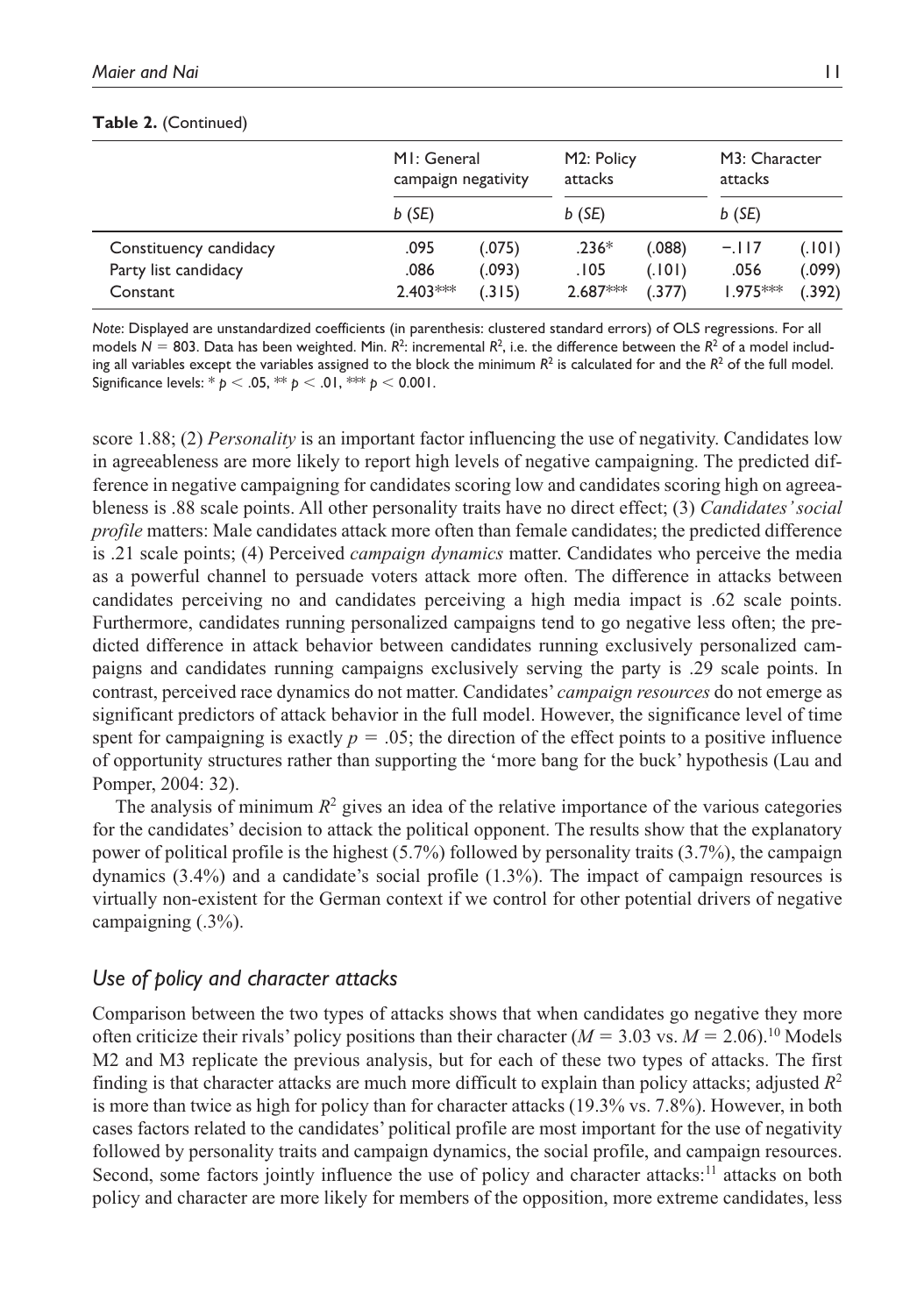#### **Table 2.** (Continued)

|                        | MI: General<br>campaign negativity |        | M2: Policy<br>attacks |         | M3: Character<br>attacks |        |
|------------------------|------------------------------------|--------|-----------------------|---------|--------------------------|--------|
|                        | $b$ (SE)                           |        | $b$ (SE)              |         | $b$ (SE)                 |        |
| Constituency candidacy | .095                               | (.075) | $.236*$               | (0.088) | $-.117$                  | (.101) |
| Party list candidacy   | .086                               | (.093) | .105                  | (.101)  | .056                     | (.099) |
| Constant               | $2.403***$                         | (.315) | $2.687***$            | (.377)  | $1.975***$               | (.392) |

*Note*: Displayed are unstandardized coefficients (in parenthesis: clustered standard errors) of OLS regressions. For all models  $N = 803$ . Data has been weighted. Min.  $R^2$ : incremental  $R^2$ , i.e. the difference between the  $R^2$  of a model including all variables except the variables assigned to the block the minimum  $R^2$  is calculated for and the  $R^2$  of the full model. Significance levels: \* *p* < .05, \*\* *p* < .01, \*\*\* *p* < 0.001.

score 1.88; (2) *Personality* is an important factor influencing the use of negativity. Candidates low in agreeableness are more likely to report high levels of negative campaigning. The predicted difference in negative campaigning for candidates scoring low and candidates scoring high on agreeableness is .88 scale points. All other personality traits have no direct effect; (3) *Candidates' social profile* matters: Male candidates attack more often than female candidates; the predicted difference is .21 scale points; (4) Perceived *campaign dynamics* matter. Candidates who perceive the media as a powerful channel to persuade voters attack more often. The difference in attacks between candidates perceiving no and candidates perceiving a high media impact is .62 scale points. Furthermore, candidates running personalized campaigns tend to go negative less often; the predicted difference in attack behavior between candidates running exclusively personalized campaigns and candidates running campaigns exclusively serving the party is .29 scale points. In contrast, perceived race dynamics do not matter. Candidates' *campaign resources* do not emerge as significant predictors of attack behavior in the full model. However, the significance level of time spent for campaigning is exactly  $p = 0.05$ ; the direction of the effect points to a positive influence of opportunity structures rather than supporting the 'more bang for the buck' hypothesis (Lau and Pomper, 2004: 32).

The analysis of minimum  $R^2$  gives an idea of the relative importance of the various categories for the candidates' decision to attack the political opponent. The results show that the explanatory power of political profile is the highest (5.7%) followed by personality traits (3.7%), the campaign dynamics (3.4%) and a candidate's social profile (1.3%). The impact of campaign resources is virtually non-existent for the German context if we control for other potential drivers of negative campaigning (.3%).

#### *Use of policy and character attacks*

Comparison between the two types of attacks shows that when candidates go negative they more often criticize their rivals' policy positions than their character ( $M = 3.03$  vs.  $M = 2.06$ ).<sup>10</sup> Models M2 and M3 replicate the previous analysis, but for each of these two types of attacks. The first finding is that character attacks are much more difficult to explain than policy attacks; adjusted  $R^2$ is more than twice as high for policy than for character attacks (19.3% vs. 7.8%). However, in both cases factors related to the candidates' political profile are most important for the use of negativity followed by personality traits and campaign dynamics, the social profile, and campaign resources. Second, some factors jointly influence the use of policy and character attacks:<sup>11</sup> attacks on both policy and character are more likely for members of the opposition, more extreme candidates, less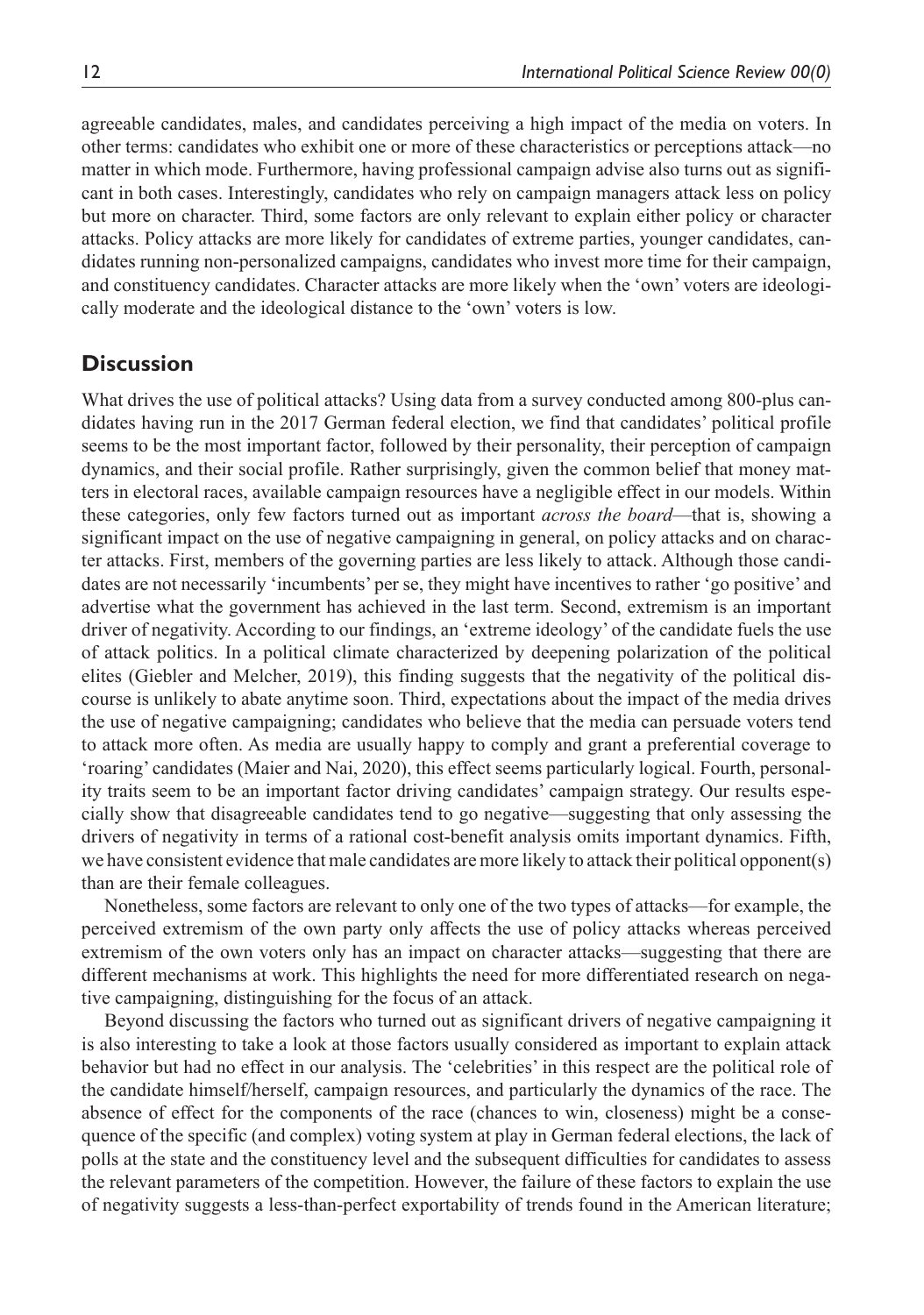agreeable candidates, males, and candidates perceiving a high impact of the media on voters. In other terms: candidates who exhibit one or more of these characteristics or perceptions attack—no matter in which mode. Furthermore, having professional campaign advise also turns out as significant in both cases. Interestingly, candidates who rely on campaign managers attack less on policy but more on character. Third, some factors are only relevant to explain either policy or character attacks. Policy attacks are more likely for candidates of extreme parties, younger candidates, candidates running non-personalized campaigns, candidates who invest more time for their campaign, and constituency candidates. Character attacks are more likely when the 'own' voters are ideologically moderate and the ideological distance to the 'own' voters is low.

## **Discussion**

What drives the use of political attacks? Using data from a survey conducted among 800-plus candidates having run in the 2017 German federal election, we find that candidates' political profile seems to be the most important factor, followed by their personality, their perception of campaign dynamics, and their social profile. Rather surprisingly, given the common belief that money matters in electoral races, available campaign resources have a negligible effect in our models. Within these categories, only few factors turned out as important *across the board*—that is, showing a significant impact on the use of negative campaigning in general, on policy attacks and on character attacks. First, members of the governing parties are less likely to attack. Although those candidates are not necessarily 'incumbents' per se, they might have incentives to rather 'go positive' and advertise what the government has achieved in the last term. Second, extremism is an important driver of negativity. According to our findings, an 'extreme ideology' of the candidate fuels the use of attack politics. In a political climate characterized by deepening polarization of the political elites (Giebler and Melcher, 2019), this finding suggests that the negativity of the political discourse is unlikely to abate anytime soon. Third, expectations about the impact of the media drives the use of negative campaigning; candidates who believe that the media can persuade voters tend to attack more often. As media are usually happy to comply and grant a preferential coverage to 'roaring' candidates (Maier and Nai, 2020), this effect seems particularly logical. Fourth, personality traits seem to be an important factor driving candidates' campaign strategy. Our results especially show that disagreeable candidates tend to go negative—suggesting that only assessing the drivers of negativity in terms of a rational cost-benefit analysis omits important dynamics. Fifth, we have consistent evidence that male candidates are more likely to attack their political opponent(s) than are their female colleagues.

Nonetheless, some factors are relevant to only one of the two types of attacks—for example, the perceived extremism of the own party only affects the use of policy attacks whereas perceived extremism of the own voters only has an impact on character attacks—suggesting that there are different mechanisms at work. This highlights the need for more differentiated research on negative campaigning, distinguishing for the focus of an attack.

Beyond discussing the factors who turned out as significant drivers of negative campaigning it is also interesting to take a look at those factors usually considered as important to explain attack behavior but had no effect in our analysis. The 'celebrities' in this respect are the political role of the candidate himself/herself, campaign resources, and particularly the dynamics of the race. The absence of effect for the components of the race (chances to win, closeness) might be a consequence of the specific (and complex) voting system at play in German federal elections, the lack of polls at the state and the constituency level and the subsequent difficulties for candidates to assess the relevant parameters of the competition. However, the failure of these factors to explain the use of negativity suggests a less-than-perfect exportability of trends found in the American literature;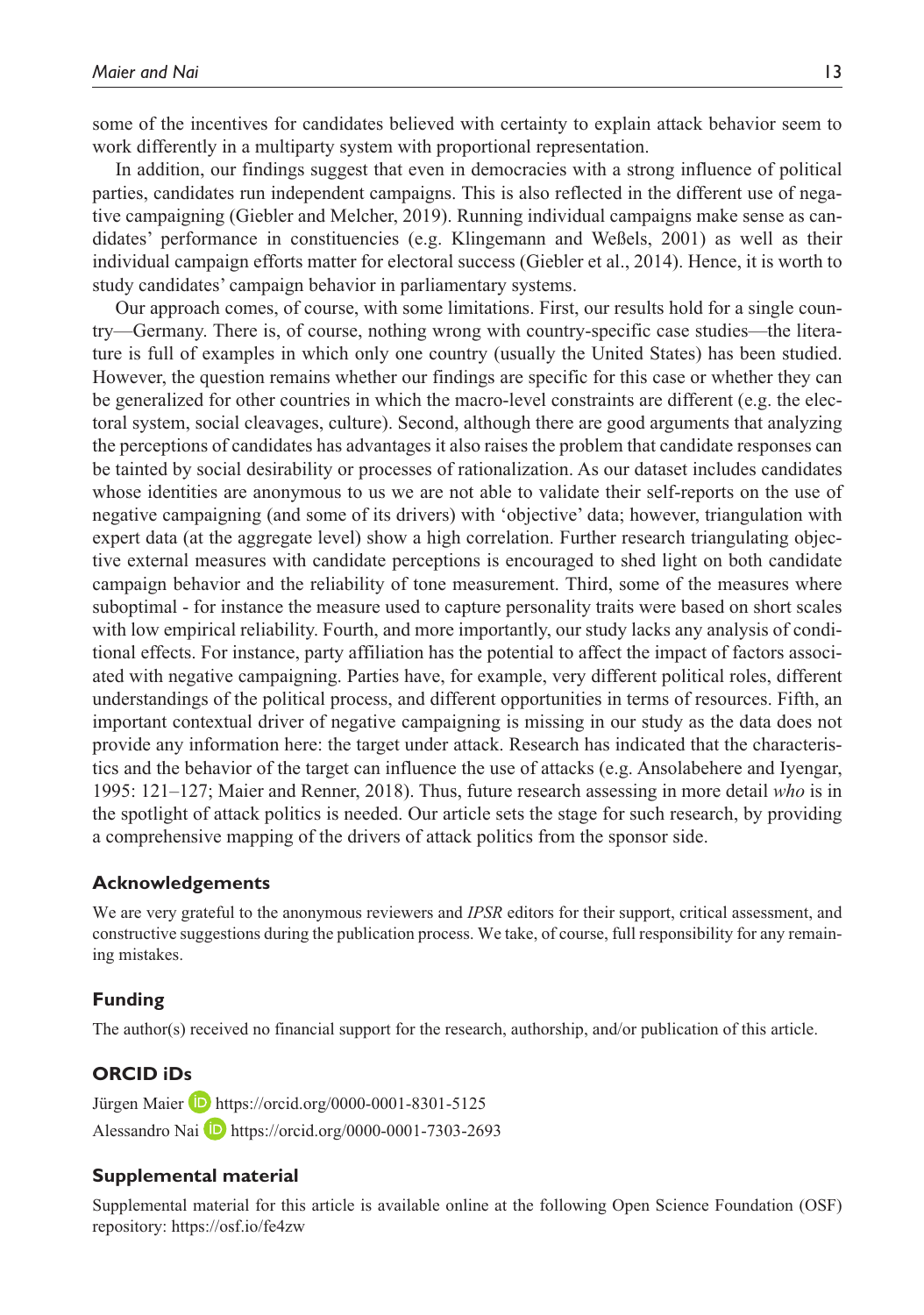some of the incentives for candidates believed with certainty to explain attack behavior seem to work differently in a multiparty system with proportional representation.

In addition, our findings suggest that even in democracies with a strong influence of political parties, candidates run independent campaigns. This is also reflected in the different use of negative campaigning (Giebler and Melcher, 2019). Running individual campaigns make sense as candidates' performance in constituencies (e.g. Klingemann and Weßels, 2001) as well as their individual campaign efforts matter for electoral success (Giebler et al., 2014). Hence, it is worth to study candidates' campaign behavior in parliamentary systems.

Our approach comes, of course, with some limitations. First, our results hold for a single country—Germany. There is, of course, nothing wrong with country-specific case studies—the literature is full of examples in which only one country (usually the United States) has been studied. However, the question remains whether our findings are specific for this case or whether they can be generalized for other countries in which the macro-level constraints are different (e.g. the electoral system, social cleavages, culture). Second, although there are good arguments that analyzing the perceptions of candidates has advantages it also raises the problem that candidate responses can be tainted by social desirability or processes of rationalization. As our dataset includes candidates whose identities are anonymous to us we are not able to validate their self-reports on the use of negative campaigning (and some of its drivers) with 'objective' data; however, triangulation with expert data (at the aggregate level) show a high correlation. Further research triangulating objective external measures with candidate perceptions is encouraged to shed light on both candidate campaign behavior and the reliability of tone measurement. Third, some of the measures where suboptimal - for instance the measure used to capture personality traits were based on short scales with low empirical reliability. Fourth, and more importantly, our study lacks any analysis of conditional effects. For instance, party affiliation has the potential to affect the impact of factors associated with negative campaigning. Parties have, for example, very different political roles, different understandings of the political process, and different opportunities in terms of resources. Fifth, an important contextual driver of negative campaigning is missing in our study as the data does not provide any information here: the target under attack. Research has indicated that the characteristics and the behavior of the target can influence the use of attacks (e.g. Ansolabehere and Iyengar, 1995: 121–127; Maier and Renner, 2018). Thus, future research assessing in more detail *who* is in the spotlight of attack politics is needed. Our article sets the stage for such research, by providing a comprehensive mapping of the drivers of attack politics from the sponsor side.

#### **Acknowledgements**

We are very grateful to the anonymous reviewers and *IPSR* editors for their support, critical assessment, and constructive suggestions during the publication process. We take, of course, full responsibility for any remaining mistakes.

#### **Funding**

The author(s) received no financial support for the research, authorship, and/or publication of this article.

#### **ORCID iDs**

Jürgen Maier **D** <https://orcid.org/0000-0001-8301-5125> Alessandro Nai D <https://orcid.org/0000-0001-7303-2693>

#### **Supplemental material**

Supplemental material for this article is available online at the following Open Science Foundation (OSF) repository:<https://osf.io/fe4zw>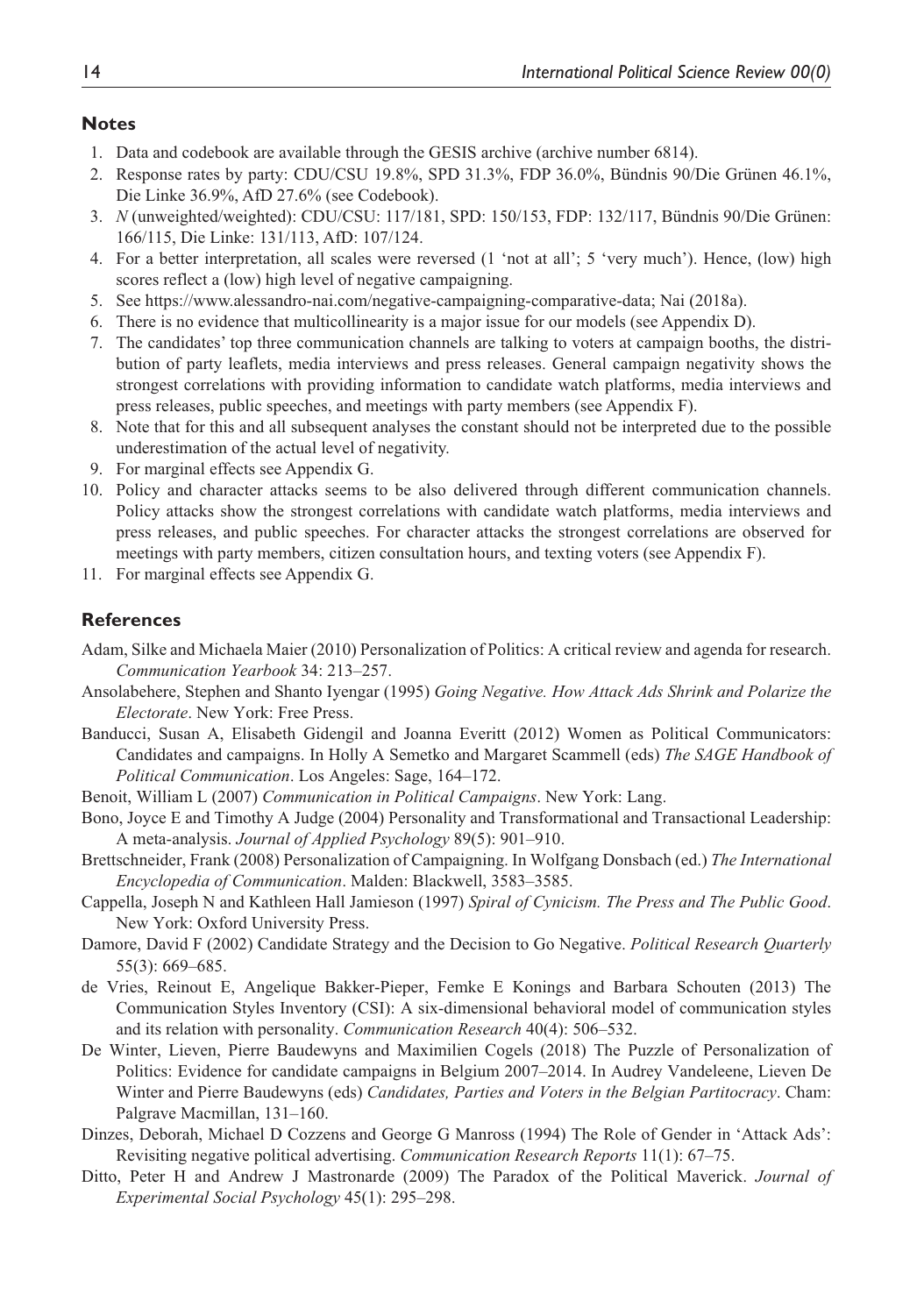#### **Notes**

- 1. Data and codebook are available through the GESIS archive (archive number 6814).
- 2. Response rates by party: CDU/CSU 19.8%, SPD 31.3%, FDP 36.0%, Bündnis 90/Die Grünen 46.1%, Die Linke 36.9%, AfD 27.6% (see Codebook).
- 3. *N* (unweighted/weighted): CDU/CSU: 117/181, SPD: 150/153, FDP: 132/117, Bündnis 90/Die Grünen: 166/115, Die Linke: 131/113, AfD: 107/124.
- 4. For a better interpretation, all scales were reversed (1 'not at all'; 5 'very much'). Hence, (low) high scores reflect a (low) high level of negative campaigning.
- 5. See [https://www.alessandro-nai.com/negative-campaigning-comparative-data;](https://www.alessandro-nai.com/negative-campaigning-comparative-data) Nai (2018a).
- 6. There is no evidence that multicollinearity is a major issue for our models (see Appendix D).
- 7. The candidates' top three communication channels are talking to voters at campaign booths, the distribution of party leaflets, media interviews and press releases. General campaign negativity shows the strongest correlations with providing information to candidate watch platforms, media interviews and press releases, public speeches, and meetings with party members (see Appendix F).
- 8. Note that for this and all subsequent analyses the constant should not be interpreted due to the possible underestimation of the actual level of negativity.
- 9. For marginal effects see Appendix G.
- 10. Policy and character attacks seems to be also delivered through different communication channels. Policy attacks show the strongest correlations with candidate watch platforms, media interviews and press releases, and public speeches. For character attacks the strongest correlations are observed for meetings with party members, citizen consultation hours, and texting voters (see Appendix F).
- 11. For marginal effects see Appendix G.

#### **References**

- Adam, Silke and Michaela Maier (2010) Personalization of Politics: A critical review and agenda for research. *Communication Yearbook* 34: 213–257.
- Ansolabehere, Stephen and Shanto Iyengar (1995) *Going Negative. How Attack Ads Shrink and Polarize the Electorate*. New York: Free Press.
- Banducci, Susan A, Elisabeth Gidengil and Joanna Everitt (2012) Women as Political Communicators: Candidates and campaigns. In Holly A Semetko and Margaret Scammell (eds) *The SAGE Handbook of Political Communication*. Los Angeles: Sage, 164–172.
- Benoit, William L (2007) *Communication in Political Campaigns*. New York: Lang.
- Bono, Joyce E and Timothy A Judge (2004) Personality and Transformational and Transactional Leadership: A meta-analysis. *Journal of Applied Psychology* 89(5): 901–910.
- Brettschneider, Frank (2008) Personalization of Campaigning. In Wolfgang Donsbach (ed.) *The International Encyclopedia of Communication*. Malden: Blackwell, 3583–3585.
- Cappella, Joseph N and Kathleen Hall Jamieson (1997) *Spiral of Cynicism. The Press and The Public Good*. New York: Oxford University Press.
- Damore, David F (2002) Candidate Strategy and the Decision to Go Negative. *Political Research Quarterly* 55(3): 669–685.
- de Vries, Reinout E, Angelique Bakker-Pieper, Femke E Konings and Barbara Schouten (2013) The Communication Styles Inventory (CSI): A six-dimensional behavioral model of communication styles and its relation with personality. *Communication Research* 40(4): 506–532.
- De Winter, Lieven, Pierre Baudewyns and Maximilien Cogels (2018) The Puzzle of Personalization of Politics: Evidence for candidate campaigns in Belgium 2007–2014. In Audrey Vandeleene, Lieven De Winter and Pierre Baudewyns (eds) *Candidates, Parties and Voters in the Belgian Partitocracy*. Cham: Palgrave Macmillan, 131–160.
- Dinzes, Deborah, Michael D Cozzens and George G Manross (1994) The Role of Gender in 'Attack Ads': Revisiting negative political advertising. *Communication Research Reports* 11(1): 67–75.
- Ditto, Peter H and Andrew J Mastronarde (2009) The Paradox of the Political Maverick. *Journal of Experimental Social Psychology* 45(1): 295–298.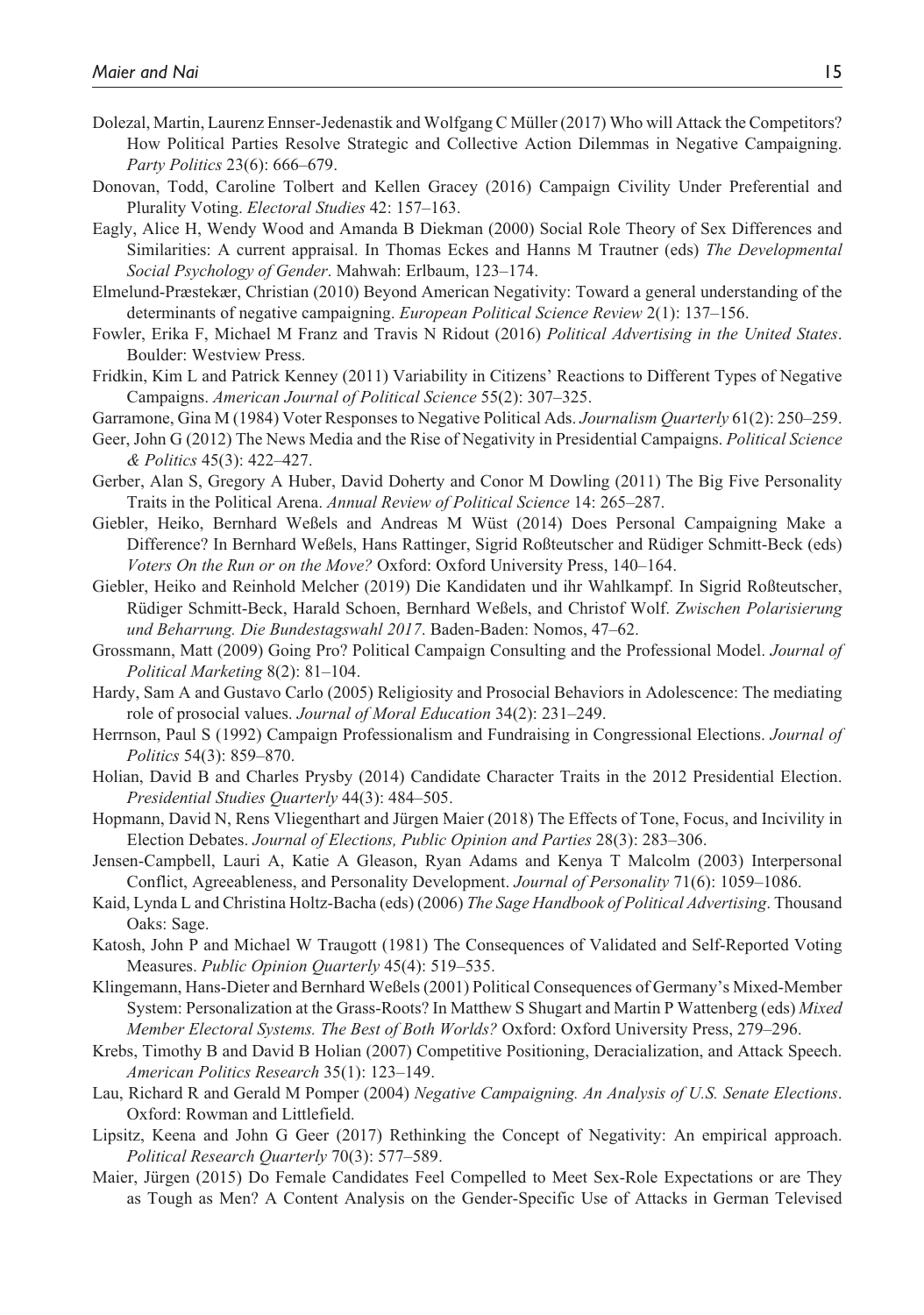- Dolezal, Martin, Laurenz Ennser-Jedenastik and Wolfgang C Müller (2017) Who will Attack the Competitors? How Political Parties Resolve Strategic and Collective Action Dilemmas in Negative Campaigning. *Party Politics* 23(6): 666–679.
- Donovan, Todd, Caroline Tolbert and Kellen Gracey (2016) Campaign Civility Under Preferential and Plurality Voting. *Electoral Studies* 42: 157–163.
- Eagly, Alice H, Wendy Wood and Amanda B Diekman (2000) Social Role Theory of Sex Differences and Similarities: A current appraisal. In Thomas Eckes and Hanns M Trautner (eds) *The Developmental Social Psychology of Gender*. Mahwah: Erlbaum, 123–174.
- Elmelund-Præstekær, Christian (2010) Beyond American Negativity: Toward a general understanding of the determinants of negative campaigning. *European Political Science Review* 2(1): 137–156.
- Fowler, Erika F, Michael M Franz and Travis N Ridout (2016) *Political Advertising in the United States*. Boulder: Westview Press.
- Fridkin, Kim L and Patrick Kenney (2011) Variability in Citizens' Reactions to Different Types of Negative Campaigns. *American Journal of Political Science* 55(2): 307–325.
- Garramone, Gina M (1984) Voter Responses to Negative Political Ads. *Journalism Quarterly* 61(2): 250–259.
- Geer, John G (2012) The News Media and the Rise of Negativity in Presidential Campaigns. *Political Science & Politics* 45(3): 422–427.
- Gerber, Alan S, Gregory A Huber, David Doherty and Conor M Dowling (2011) The Big Five Personality Traits in the Political Arena. *Annual Review of Political Science* 14: 265–287.
- Giebler, Heiko, Bernhard Weßels and Andreas M Wüst (2014) Does Personal Campaigning Make a Difference? In Bernhard Weßels, Hans Rattinger, Sigrid Roßteutscher and Rüdiger Schmitt-Beck (eds) *Voters On the Run or on the Move?* Oxford: Oxford University Press, 140–164.
- Giebler, Heiko and Reinhold Melcher (2019) Die Kandidaten und ihr Wahlkampf. In Sigrid Roßteutscher, Rüdiger Schmitt-Beck, Harald Schoen, Bernhard Weßels, and Christof Wolf. *Zwischen Polarisierung und Beharrung. Die Bundestagswahl 2017*. Baden-Baden: Nomos, 47–62.
- Grossmann, Matt (2009) Going Pro? Political Campaign Consulting and the Professional Model. *Journal of Political Marketing* 8(2): 81–104.
- Hardy, Sam A and Gustavo Carlo (2005) Religiosity and Prosocial Behaviors in Adolescence: The mediating role of prosocial values. *Journal of Moral Education* 34(2): 231–249.
- Herrnson, Paul S (1992) Campaign Professionalism and Fundraising in Congressional Elections. *Journal of Politics* 54(3): 859–870.
- Holian, David B and Charles Prysby (2014) Candidate Character Traits in the 2012 Presidential Election. *Presidential Studies Quarterly* 44(3): 484–505.
- Hopmann, David N, Rens Vliegenthart and Jürgen Maier (2018) The Effects of Tone, Focus, and Incivility in Election Debates. *Journal of Elections, Public Opinion and Parties* 28(3): 283–306.
- Jensen-Campbell, Lauri A, Katie A Gleason, Ryan Adams and Kenya T Malcolm (2003) Interpersonal Conflict, Agreeableness, and Personality Development. *Journal of Personality* 71(6): 1059–1086.
- Kaid, Lynda L and Christina Holtz-Bacha (eds) (2006) *The Sage Handbook of Political Advertising*. Thousand Oaks: Sage.
- Katosh, John P and Michael W Traugott (1981) The Consequences of Validated and Self-Reported Voting Measures. *Public Opinion Quarterly* 45(4): 519–535.
- Klingemann, Hans-Dieter and Bernhard Weßels (2001) Political Consequences of Germany's Mixed-Member System: Personalization at the Grass-Roots? In Matthew S Shugart and Martin P Wattenberg (eds) *Mixed Member Electoral Systems. The Best of Both Worlds?* Oxford: Oxford University Press, 279–296.
- Krebs, Timothy B and David B Holian (2007) Competitive Positioning, Deracialization, and Attack Speech. *American Politics Research* 35(1): 123–149.
- Lau, Richard R and Gerald M Pomper (2004) *Negative Campaigning. An Analysis of U.S. Senate Elections*. Oxford: Rowman and Littlefield.
- Lipsitz, Keena and John G Geer (2017) Rethinking the Concept of Negativity: An empirical approach. *Political Research Quarterly* 70(3): 577–589.
- Maier, Jürgen (2015) Do Female Candidates Feel Compelled to Meet Sex-Role Expectations or are They as Tough as Men? A Content Analysis on the Gender-Specific Use of Attacks in German Televised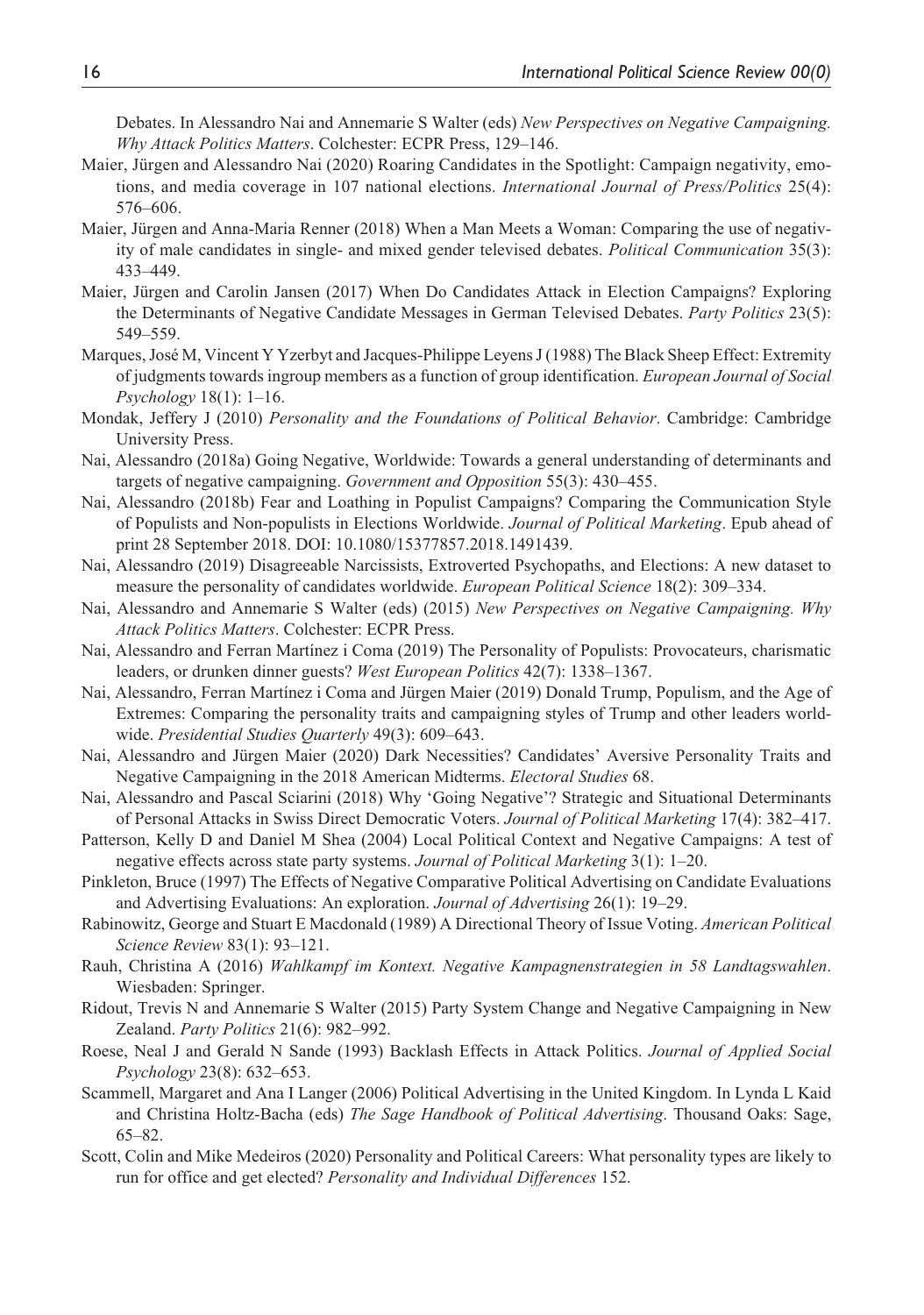Debates. In Alessandro Nai and Annemarie S Walter (eds) *New Perspectives on Negative Campaigning. Why Attack Politics Matters*. Colchester: ECPR Press, 129–146.

- Maier, Jürgen and Alessandro Nai (2020) Roaring Candidates in the Spotlight: Campaign negativity, emotions, and media coverage in 107 national elections. *International Journal of Press/Politics* 25(4): 576–606.
- Maier, Jürgen and Anna-Maria Renner (2018) When a Man Meets a Woman: Comparing the use of negativity of male candidates in single- and mixed gender televised debates. *Political Communication* 35(3): 433–449.
- Maier, Jürgen and Carolin Jansen (2017) When Do Candidates Attack in Election Campaigns? Exploring the Determinants of Negative Candidate Messages in German Televised Debates. *Party Politics* 23(5): 549–559.
- Marques, José M, Vincent Y Yzerbyt and Jacques-Philippe Leyens J (1988) The Black Sheep Effect: Extremity of judgments towards ingroup members as a function of group identification. *European Journal of Social Psychology* 18(1): 1–16.
- Mondak, Jeffery J (2010) *Personality and the Foundations of Political Behavior*. Cambridge: Cambridge University Press.
- Nai, Alessandro (2018a) Going Negative, Worldwide: Towards a general understanding of determinants and targets of negative campaigning. *Government and Opposition* 55(3): 430–455.
- Nai, Alessandro (2018b) Fear and Loathing in Populist Campaigns? Comparing the Communication Style of Populists and Non-populists in Elections Worldwide. *Journal of Political Marketing*. Epub ahead of print 28 September 2018. DOI: 10.1080/15377857.2018.1491439.
- Nai, Alessandro (2019) Disagreeable Narcissists, Extroverted Psychopaths, and Elections: A new dataset to measure the personality of candidates worldwide. *European Political Science* 18(2): 309–334.
- Nai, Alessandro and Annemarie S Walter (eds) (2015) *New Perspectives on Negative Campaigning. Why Attack Politics Matters*. Colchester: ECPR Press.
- Nai, Alessandro and Ferran Martínez i Coma (2019) The Personality of Populists: Provocateurs, charismatic leaders, or drunken dinner guests? *West European Politics* 42(7): 1338–1367.
- Nai, Alessandro, Ferran Martínez i Coma and Jürgen Maier (2019) Donald Trump, Populism, and the Age of Extremes: Comparing the personality traits and campaigning styles of Trump and other leaders worldwide. *Presidential Studies Quarterly* 49(3): 609–643.
- Nai, Alessandro and Jürgen Maier (2020) Dark Necessities? Candidates' Aversive Personality Traits and Negative Campaigning in the 2018 American Midterms. *Electoral Studies* 68.
- Nai, Alessandro and Pascal Sciarini (2018) Why 'Going Negative'? Strategic and Situational Determinants of Personal Attacks in Swiss Direct Democratic Voters. *Journal of Political Marketing* 17(4): 382–417.
- Patterson, Kelly D and Daniel M Shea (2004) Local Political Context and Negative Campaigns: A test of negative effects across state party systems. *Journal of Political Marketing* 3(1): 1–20.
- Pinkleton, Bruce (1997) The Effects of Negative Comparative Political Advertising on Candidate Evaluations and Advertising Evaluations: An exploration. *Journal of Advertising* 26(1): 19–29.
- Rabinowitz, George and Stuart E Macdonald (1989) A Directional Theory of Issue Voting. *American Political Science Review* 83(1): 93–121.
- Rauh, Christina A (2016) *Wahlkampf im Kontext. Negative Kampagnenstrategien in 58 Landtagswahlen*. Wiesbaden: Springer.
- Ridout, Trevis N and Annemarie S Walter (2015) Party System Change and Negative Campaigning in New Zealand. *Party Politics* 21(6): 982–992.
- Roese, Neal J and Gerald N Sande (1993) Backlash Effects in Attack Politics. *Journal of Applied Social Psychology* 23(8): 632–653.
- Scammell, Margaret and Ana I Langer (2006) Political Advertising in the United Kingdom. In Lynda L Kaid and Christina Holtz-Bacha (eds) *The Sage Handbook of Political Advertising*. Thousand Oaks: Sage, 65–82.
- Scott, Colin and Mike Medeiros (2020) Personality and Political Careers: What personality types are likely to run for office and get elected? *Personality and Individual Differences* 152.